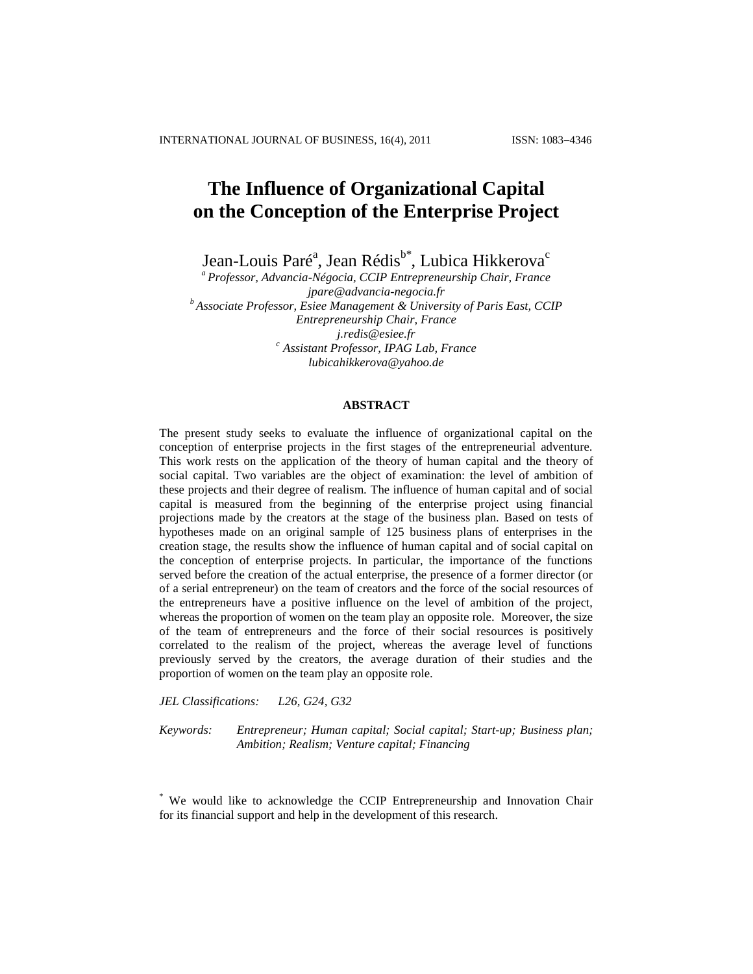# **The Influence of Organizational Capital on the Conception of the Enterprise Project**

Jean-Louis Paré<sup>a</sup>, Jean Rédis<sup>b\*</sup>, Lubica Hikkerova<sup>c</sup>

*<sup>a</sup> Professor, Advancia-Négocia, CCIP Entrepreneurship Chair, France jpare@advancia-negocia.fr <sup>b</sup> Associate Professor, Esiee Management & University of Paris East, CCIP Entrepreneurship Chair, France [j.redis@esiee.fr](mailto:j.redis@esiee.fr) <sup>c</sup> Assistant Professor, IPAG Lab, France [lubicahikkerova@yahoo.de](mailto:lubicahikkerova@yahoo.de)*

#### **ABSTRACT**

The present study seeks to evaluate the influence of organizational capital on the conception of enterprise projects in the first stages of the entrepreneurial adventure. This work rests on the application of the theory of human capital and the theory of social capital. Two variables are the object of examination: the level of ambition of these projects and their degree of realism. The influence of human capital and of social capital is measured from the beginning of the enterprise project using financial projections made by the creators at the stage of the business plan. Based on tests of hypotheses made on an original sample of 125 business plans of enterprises in the creation stage, the results show the influence of human capital and of social capital on the conception of enterprise projects. In particular, the importance of the functions served before the creation of the actual enterprise, the presence of a former director (or of a serial entrepreneur) on the team of creators and the force of the social resources of the entrepreneurs have a positive influence on the level of ambition of the project, whereas the proportion of women on the team play an opposite role. Moreover, the size of the team of entrepreneurs and the force of their social resources is positively correlated to the realism of the project, whereas the average level of functions previously served by the creators, the average duration of their studies and the proportion of women on the team play an opposite role.

*JEL Classifications: L26, G24, G32*

*Keywords: Entrepreneur; Human capital; Social capital; Start-up; Business plan; Ambition; Realism; Venture capital; Financing*

<sup>\*</sup> We would like to acknowledge the CCIP Entrepreneurship and Innovation Chair for its financial support and help in the development of this research.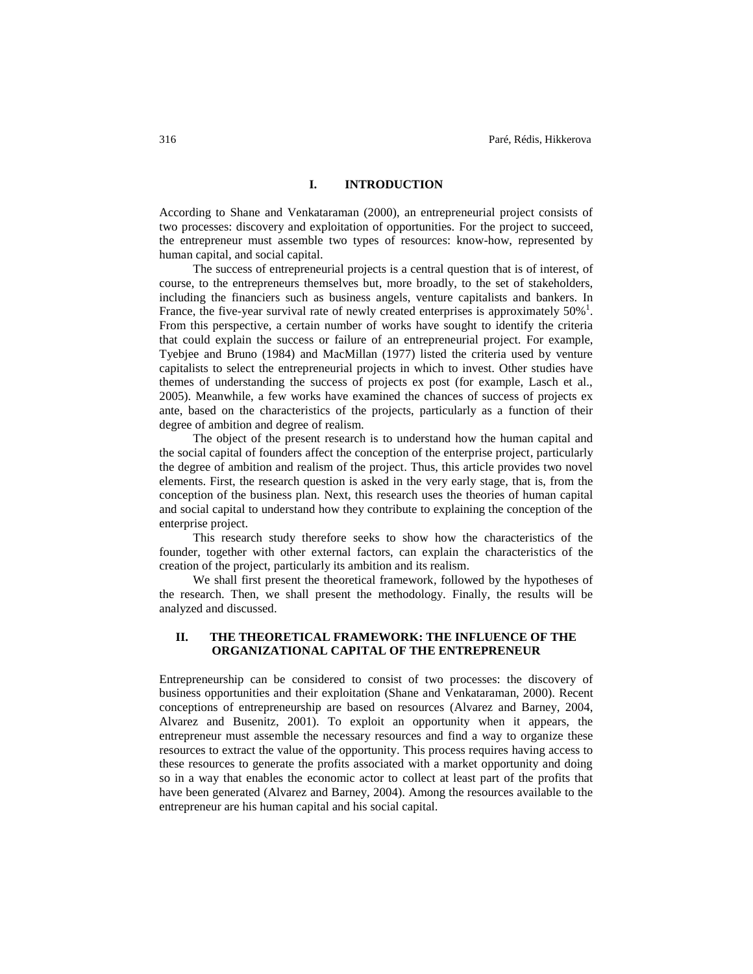## **I. INTRODUCTION**

According to Shane and Venkataraman (2000), an entrepreneurial project consists of two processes: discovery and exploitation of opportunities. For the project to succeed, the entrepreneur must assemble two types of resources: know-how, represented by human capital, and social capital.

The success of entrepreneurial projects is a central question that is of interest, of course, to the entrepreneurs themselves but, more broadly, to the set of stakeholders, including the financiers such as business angels, venture capitalists and bankers. In France, the five-year survival rate of newly created enterprises is approximately  $50\%$ <sup>1</sup>. From this perspective, a certain number of works have sought to identify the criteria that could explain the success or failure of an entrepreneurial project. For example, Tyebjee and Bruno (1984) and MacMillan (1977) listed the criteria used by venture capitalists to select the entrepreneurial projects in which to invest. Other studies have themes of understanding the success of projects ex post (for example, Lasch et al., 2005). Meanwhile, a few works have examined the chances of success of projects ex ante, based on the characteristics of the projects, particularly as a function of their degree of ambition and degree of realism.

The object of the present research is to understand how the human capital and the social capital of founders affect the conception of the enterprise project, particularly the degree of ambition and realism of the project. Thus, this article provides two novel elements. First, the research question is asked in the very early stage, that is, from the conception of the business plan. Next, this research uses the theories of human capital and social capital to understand how they contribute to explaining the conception of the enterprise project.

This research study therefore seeks to show how the characteristics of the founder, together with other external factors, can explain the characteristics of the creation of the project, particularly its ambition and its realism.

We shall first present the theoretical framework, followed by the hypotheses of the research. Then, we shall present the methodology. Finally, the results will be analyzed and discussed.

# **II. THE THEORETICAL FRAMEWORK: THE INFLUENCE OF THE ORGANIZATIONAL CAPITAL OF THE ENTREPRENEUR**

Entrepreneurship can be considered to consist of two processes: the discovery of business opportunities and their exploitation (Shane and Venkataraman, 2000). Recent conceptions of entrepreneurship are based on resources (Alvarez and Barney, 2004, Alvarez and Busenitz, 2001). To exploit an opportunity when it appears, the entrepreneur must assemble the necessary resources and find a way to organize these resources to extract the value of the opportunity. This process requires having access to these resources to generate the profits associated with a market opportunity and doing so in a way that enables the economic actor to collect at least part of the profits that have been generated (Alvarez and Barney, 2004). Among the resources available to the entrepreneur are his human capital and his social capital.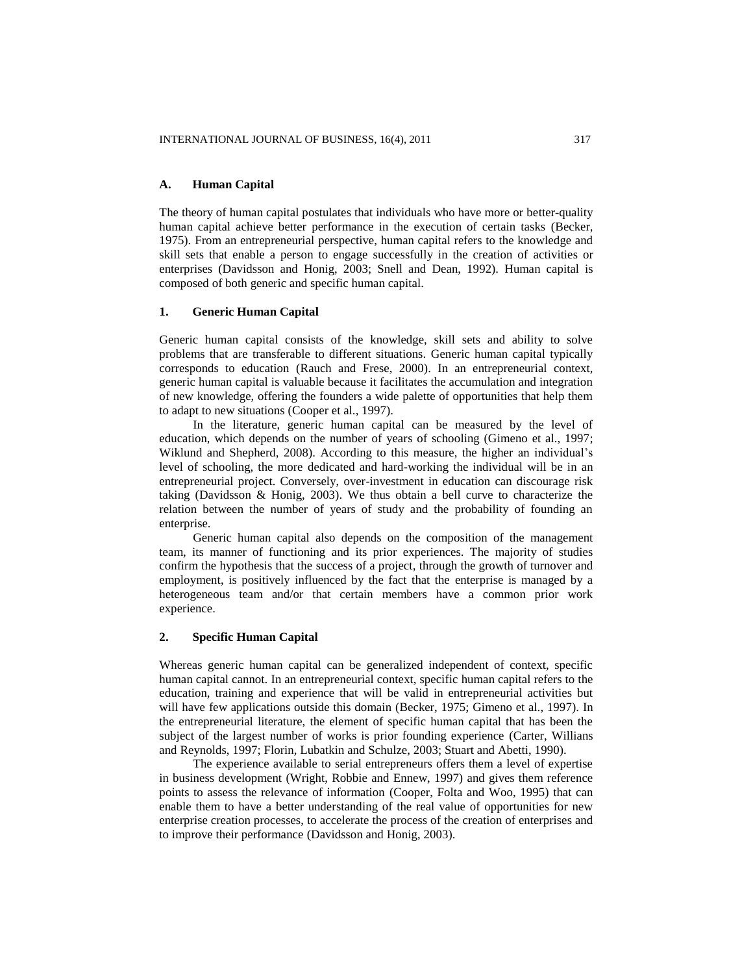#### **A. Human Capital**

The theory of human capital postulates that individuals who have more or better-quality human capital achieve better performance in the execution of certain tasks (Becker, 1975). From an entrepreneurial perspective, human capital refers to the knowledge and skill sets that enable a person to engage successfully in the creation of activities or enterprises (Davidsson and Honig, 2003; Snell and Dean, 1992). Human capital is composed of both generic and specific human capital.

# **1. Generic Human Capital**

Generic human capital consists of the knowledge, skill sets and ability to solve problems that are transferable to different situations. Generic human capital typically corresponds to education (Rauch and Frese, 2000). In an entrepreneurial context, generic human capital is valuable because it facilitates the accumulation and integration of new knowledge, offering the founders a wide palette of opportunities that help them to adapt to new situations (Cooper et al., 1997).

In the literature, generic human capital can be measured by the level of education, which depends on the number of years of schooling (Gimeno et al., 1997; Wiklund and Shepherd, 2008). According to this measure, the higher an individual's level of schooling, the more dedicated and hard-working the individual will be in an entrepreneurial project. Conversely, over-investment in education can discourage risk taking (Davidsson & Honig, 2003). We thus obtain a bell curve to characterize the relation between the number of years of study and the probability of founding an enterprise.

Generic human capital also depends on the composition of the management team, its manner of functioning and its prior experiences. The majority of studies confirm the hypothesis that the success of a project, through the growth of turnover and employment, is positively influenced by the fact that the enterprise is managed by a heterogeneous team and/or that certain members have a common prior work experience.

#### **2. Specific Human Capital**

Whereas generic human capital can be generalized independent of context, specific human capital cannot. In an entrepreneurial context, specific human capital refers to the education, training and experience that will be valid in entrepreneurial activities but will have few applications outside this domain (Becker, 1975; Gimeno et al., 1997). In the entrepreneurial literature, the element of specific human capital that has been the subject of the largest number of works is prior founding experience (Carter, Willians and Reynolds, 1997; Florin, Lubatkin and Schulze, 2003; Stuart and Abetti, 1990).

The experience available to serial entrepreneurs offers them a level of expertise in business development (Wright, Robbie and Ennew, 1997) and gives them reference points to assess the relevance of information (Cooper, Folta and Woo, 1995) that can enable them to have a better understanding of the real value of opportunities for new enterprise creation processes, to accelerate the process of the creation of enterprises and to improve their performance (Davidsson and Honig, 2003).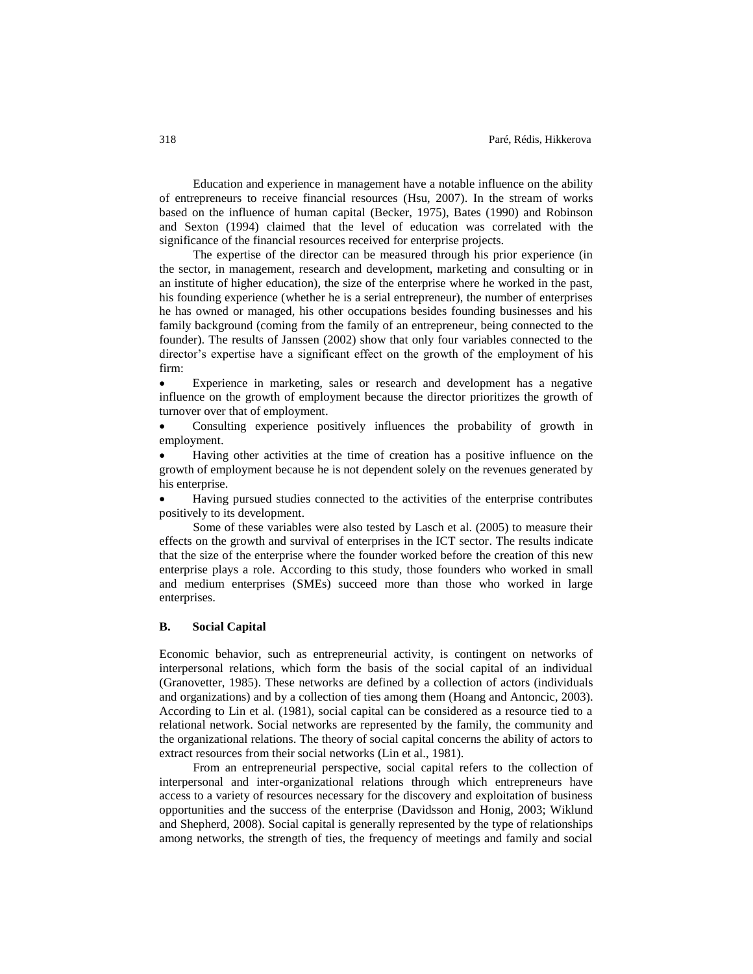Education and experience in management have a notable influence on the ability of entrepreneurs to receive financial resources (Hsu, 2007). In the stream of works based on the influence of human capital (Becker, 1975), Bates (1990) and Robinson and Sexton (1994) claimed that the level of education was correlated with the significance of the financial resources received for enterprise projects.

The expertise of the director can be measured through his prior experience (in the sector, in management, research and development, marketing and consulting or in an institute of higher education), the size of the enterprise where he worked in the past, his founding experience (whether he is a serial entrepreneur), the number of enterprises he has owned or managed, his other occupations besides founding businesses and his family background (coming from the family of an entrepreneur, being connected to the founder). The results of Janssen (2002) show that only four variables connected to the director's expertise have a significant effect on the growth of the employment of his firm:

 Experience in marketing, sales or research and development has a negative influence on the growth of employment because the director prioritizes the growth of turnover over that of employment.

 Consulting experience positively influences the probability of growth in employment.

 Having other activities at the time of creation has a positive influence on the growth of employment because he is not dependent solely on the revenues generated by his enterprise.

 Having pursued studies connected to the activities of the enterprise contributes positively to its development.

Some of these variables were also tested by Lasch et al. (2005) to measure their effects on the growth and survival of enterprises in the ICT sector. The results indicate that the size of the enterprise where the founder worked before the creation of this new enterprise plays a role. According to this study, those founders who worked in small and medium enterprises (SMEs) succeed more than those who worked in large enterprises.

#### **B. Social Capital**

Economic behavior, such as entrepreneurial activity, is contingent on networks of interpersonal relations, which form the basis of the social capital of an individual (Granovetter, 1985). These networks are defined by a collection of actors (individuals and organizations) and by a collection of ties among them (Hoang and Antoncic, 2003). According to Lin et al. (1981), social capital can be considered as a resource tied to a relational network. Social networks are represented by the family, the community and the organizational relations. The theory of social capital concerns the ability of actors to extract resources from their social networks (Lin et al., 1981).

From an entrepreneurial perspective, social capital refers to the collection of interpersonal and inter-organizational relations through which entrepreneurs have access to a variety of resources necessary for the discovery and exploitation of business opportunities and the success of the enterprise (Davidsson and Honig, 2003; Wiklund and Shepherd, 2008). Social capital is generally represented by the type of relationships among networks, the strength of ties, the frequency of meetings and family and social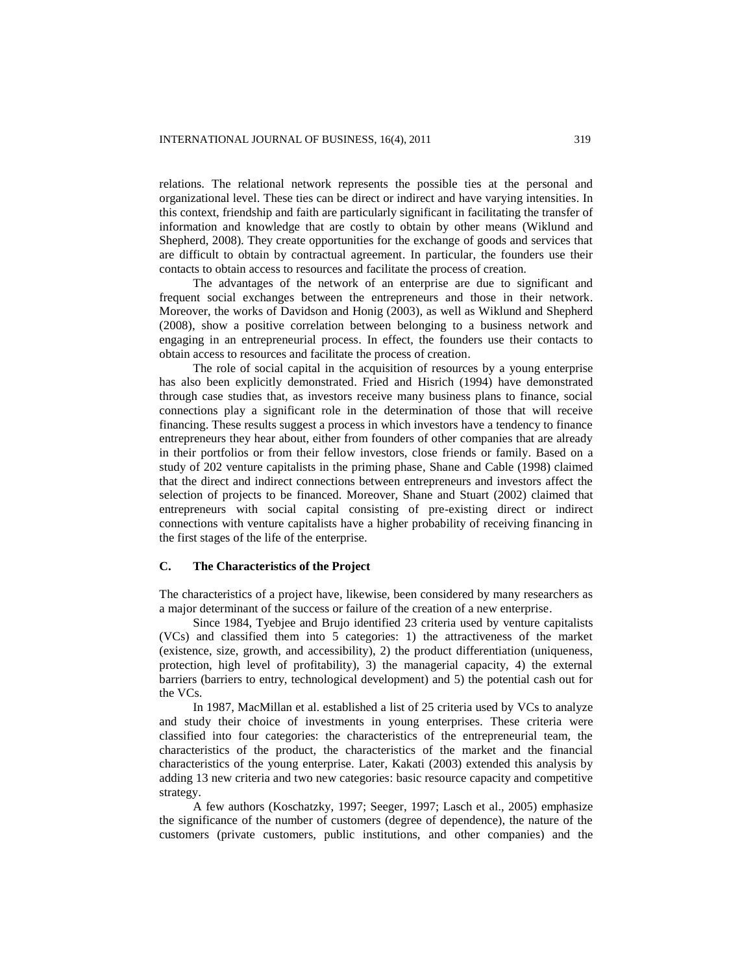relations. The relational network represents the possible ties at the personal and organizational level. These ties can be direct or indirect and have varying intensities. In this context, friendship and faith are particularly significant in facilitating the transfer of information and knowledge that are costly to obtain by other means (Wiklund and Shepherd, 2008). They create opportunities for the exchange of goods and services that are difficult to obtain by contractual agreement. In particular, the founders use their contacts to obtain access to resources and facilitate the process of creation.

The advantages of the network of an enterprise are due to significant and frequent social exchanges between the entrepreneurs and those in their network. Moreover, the works of Davidson and Honig (2003), as well as Wiklund and Shepherd (2008), show a positive correlation between belonging to a business network and engaging in an entrepreneurial process. In effect, the founders use their contacts to obtain access to resources and facilitate the process of creation.

The role of social capital in the acquisition of resources by a young enterprise has also been explicitly demonstrated. Fried and Hisrich (1994) have demonstrated through case studies that, as investors receive many business plans to finance, social connections play a significant role in the determination of those that will receive financing. These results suggest a process in which investors have a tendency to finance entrepreneurs they hear about, either from founders of other companies that are already in their portfolios or from their fellow investors, close friends or family. Based on a study of 202 venture capitalists in the priming phase, Shane and Cable (1998) claimed that the direct and indirect connections between entrepreneurs and investors affect the selection of projects to be financed. Moreover, Shane and Stuart (2002) claimed that entrepreneurs with social capital consisting of pre-existing direct or indirect connections with venture capitalists have a higher probability of receiving financing in the first stages of the life of the enterprise.

#### **C. The Characteristics of the Project**

The characteristics of a project have, likewise, been considered by many researchers as a major determinant of the success or failure of the creation of a new enterprise.

Since 1984, Tyebjee and Brujo identified 23 criteria used by venture capitalists (VCs) and classified them into 5 categories: 1) the attractiveness of the market (existence, size, growth, and accessibility), 2) the product differentiation (uniqueness, protection, high level of profitability), 3) the managerial capacity, 4) the external barriers (barriers to entry, technological development) and 5) the potential cash out for the VCs.

In 1987, MacMillan et al. established a list of 25 criteria used by VCs to analyze and study their choice of investments in young enterprises. These criteria were classified into four categories: the characteristics of the entrepreneurial team, the characteristics of the product, the characteristics of the market and the financial characteristics of the young enterprise. Later, Kakati (2003) extended this analysis by adding 13 new criteria and two new categories: basic resource capacity and competitive strategy.

A few authors (Koschatzky, 1997; Seeger, 1997; Lasch et al., 2005) emphasize the significance of the number of customers (degree of dependence), the nature of the customers (private customers, public institutions, and other companies) and the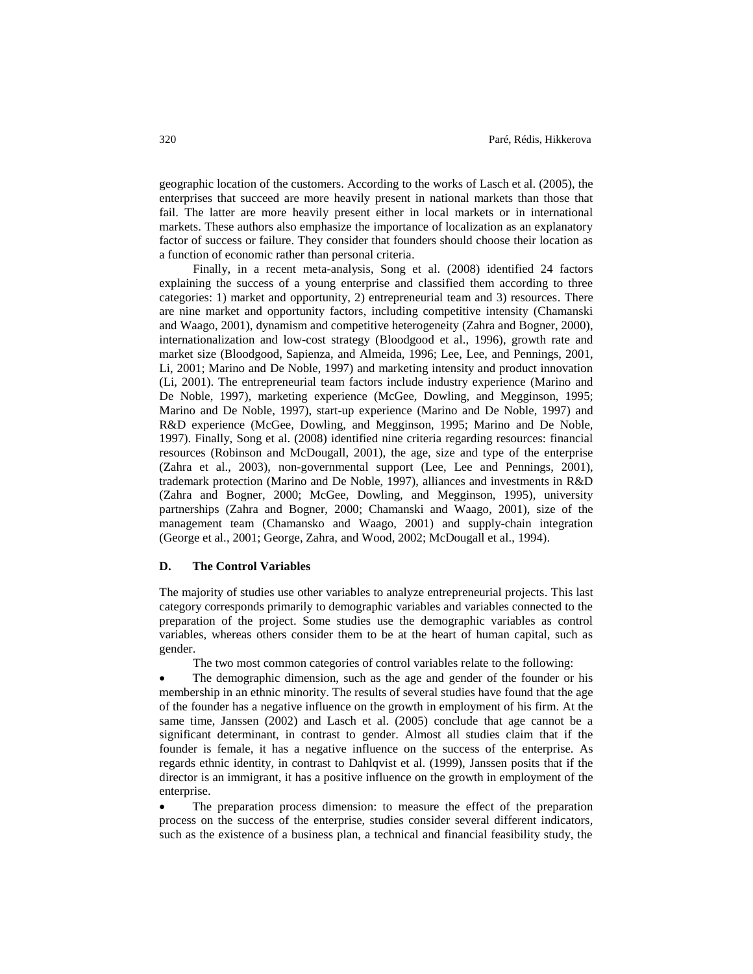geographic location of the customers. According to the works of Lasch et al. (2005), the enterprises that succeed are more heavily present in national markets than those that fail. The latter are more heavily present either in local markets or in international markets. These authors also emphasize the importance of localization as an explanatory factor of success or failure. They consider that founders should choose their location as a function of economic rather than personal criteria.

Finally, in a recent meta-analysis, Song et al. (2008) identified 24 factors explaining the success of a young enterprise and classified them according to three categories: 1) market and opportunity, 2) entrepreneurial team and 3) resources. There are nine market and opportunity factors, including competitive intensity (Chamanski and Waago, 2001), dynamism and competitive heterogeneity (Zahra and Bogner, 2000), internationalization and low-cost strategy (Bloodgood et al., 1996), growth rate and market size (Bloodgood, Sapienza, and Almeida, 1996; Lee, Lee, and Pennings, 2001, Li, 2001; Marino and De Noble, 1997) and marketing intensity and product innovation (Li, 2001). The entrepreneurial team factors include industry experience (Marino and De Noble, 1997), marketing experience (McGee, Dowling, and Megginson, 1995; Marino and De Noble, 1997), start-up experience (Marino and De Noble, 1997) and R&D experience (McGee, Dowling, and Megginson, 1995; Marino and De Noble, 1997). Finally, Song et al. (2008) identified nine criteria regarding resources: financial resources (Robinson and McDougall, 2001), the age, size and type of the enterprise (Zahra et al., 2003), non-governmental support (Lee, Lee and Pennings, 2001), trademark protection (Marino and De Noble, 1997), alliances and investments in R&D (Zahra and Bogner, 2000; McGee, Dowling, and Megginson, 1995), university partnerships (Zahra and Bogner, 2000; Chamanski and Waago, 2001), size of the management team (Chamansko and Waago, 2001) and supply-chain integration (George et al., 2001; George, Zahra, and Wood, 2002; McDougall et al., 1994).

#### **D. The Control Variables**

The majority of studies use other variables to analyze entrepreneurial projects. This last category corresponds primarily to demographic variables and variables connected to the preparation of the project. Some studies use the demographic variables as control variables, whereas others consider them to be at the heart of human capital, such as gender.

The two most common categories of control variables relate to the following:

 The demographic dimension, such as the age and gender of the founder or his membership in an ethnic minority. The results of several studies have found that the age of the founder has a negative influence on the growth in employment of his firm. At the same time, Janssen (2002) and Lasch et al. (2005) conclude that age cannot be a significant determinant, in contrast to gender. Almost all studies claim that if the founder is female, it has a negative influence on the success of the enterprise. As regards ethnic identity, in contrast to Dahlqvist et al. (1999), Janssen posits that if the director is an immigrant, it has a positive influence on the growth in employment of the enterprise.

 The preparation process dimension: to measure the effect of the preparation process on the success of the enterprise, studies consider several different indicators, such as the existence of a business plan, a technical and financial feasibility study, the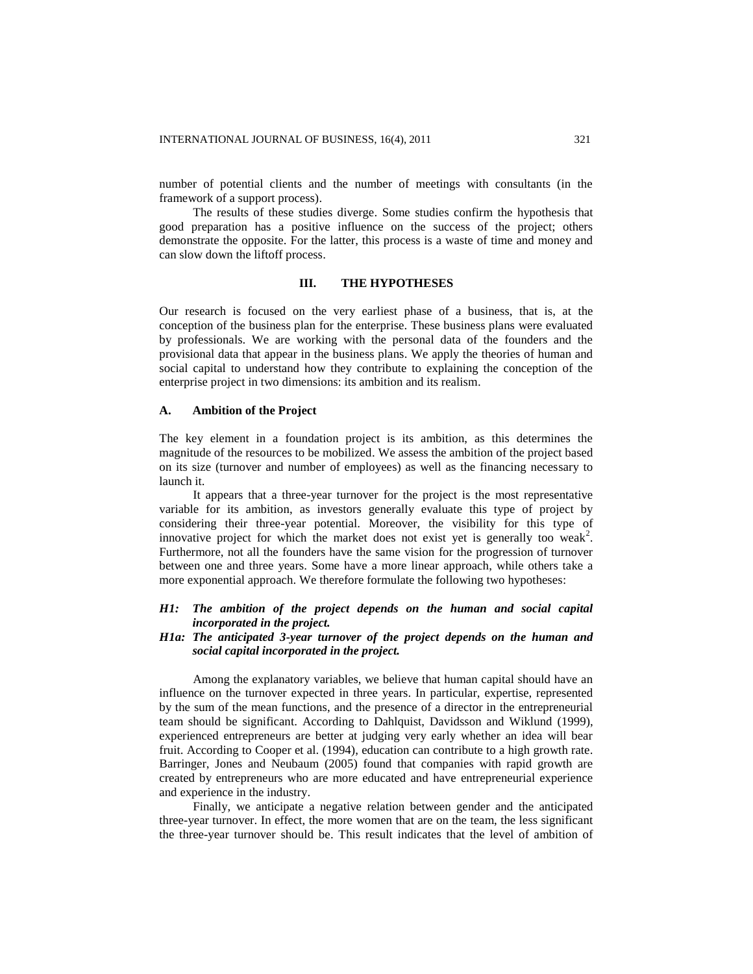number of potential clients and the number of meetings with consultants (in the framework of a support process).

The results of these studies diverge. Some studies confirm the hypothesis that good preparation has a positive influence on the success of the project; others demonstrate the opposite. For the latter, this process is a waste of time and money and can slow down the liftoff process.

# **III. THE HYPOTHESES**

Our research is focused on the very earliest phase of a business, that is, at the conception of the business plan for the enterprise. These business plans were evaluated by professionals. We are working with the personal data of the founders and the provisional data that appear in the business plans. We apply the theories of human and social capital to understand how they contribute to explaining the conception of the enterprise project in two dimensions: its ambition and its realism.

#### **A. Ambition of the Project**

The key element in a foundation project is its ambition, as this determines the magnitude of the resources to be mobilized. We assess the ambition of the project based on its size (turnover and number of employees) as well as the financing necessary to launch it.

It appears that a three-year turnover for the project is the most representative variable for its ambition, as investors generally evaluate this type of project by considering their three-year potential. Moreover, the visibility for this type of innovative project for which the market does not exist yet is generally too weak<sup>2</sup>. Furthermore, not all the founders have the same vision for the progression of turnover between one and three years. Some have a more linear approach, while others take a more exponential approach. We therefore formulate the following two hypotheses:

# *H1: The ambition of the project depends on the human and social capital incorporated in the project.*

# *H1a: The anticipated 3-year turnover of the project depends on the human and social capital incorporated in the project.*

Among the explanatory variables, we believe that human capital should have an influence on the turnover expected in three years. In particular, expertise, represented by the sum of the mean functions, and the presence of a director in the entrepreneurial team should be significant. According to Dahlquist, Davidsson and Wiklund (1999), experienced entrepreneurs are better at judging very early whether an idea will bear fruit. According to Cooper et al. (1994), education can contribute to a high growth rate. Barringer, Jones and Neubaum (2005) found that companies with rapid growth are created by entrepreneurs who are more educated and have entrepreneurial experience and experience in the industry.

Finally, we anticipate a negative relation between gender and the anticipated three-year turnover. In effect, the more women that are on the team, the less significant the three-year turnover should be. This result indicates that the level of ambition of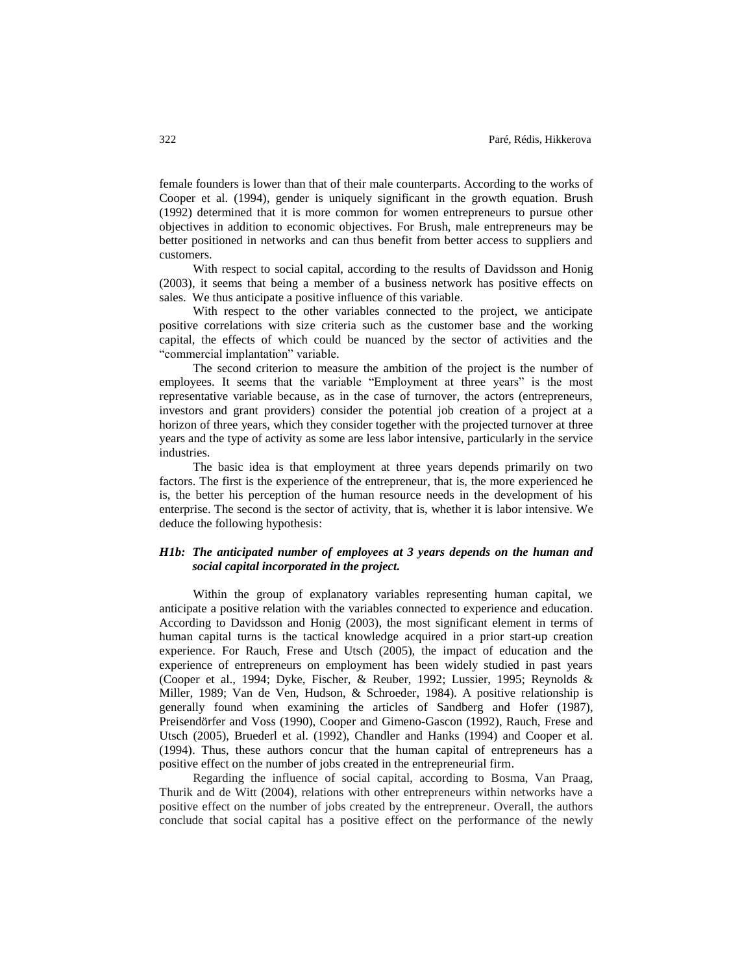female founders is lower than that of their male counterparts. According to the works of Cooper et al. (1994), gender is uniquely significant in the growth equation. Brush (1992) determined that it is more common for women entrepreneurs to pursue other objectives in addition to economic objectives. For Brush, male entrepreneurs may be better positioned in networks and can thus benefit from better access to suppliers and customers.

With respect to social capital, according to the results of Davidsson and Honig (2003), it seems that being a member of a business network has positive effects on sales. We thus anticipate a positive influence of this variable.

With respect to the other variables connected to the project, we anticipate positive correlations with size criteria such as the customer base and the working capital, the effects of which could be nuanced by the sector of activities and the "commercial implantation" variable.

The second criterion to measure the ambition of the project is the number of employees. It seems that the variable "Employment at three years" is the most representative variable because, as in the case of turnover, the actors (entrepreneurs, investors and grant providers) consider the potential job creation of a project at a horizon of three years, which they consider together with the projected turnover at three years and the type of activity as some are less labor intensive, particularly in the service industries.

The basic idea is that employment at three years depends primarily on two factors. The first is the experience of the entrepreneur, that is, the more experienced he is, the better his perception of the human resource needs in the development of his enterprise. The second is the sector of activity, that is, whether it is labor intensive. We deduce the following hypothesis:

# *H1b: The anticipated number of employees at 3 years depends on the human and social capital incorporated in the project.*

Within the group of explanatory variables representing human capital, we anticipate a positive relation with the variables connected to experience and education. According to Davidsson and Honig (2003), the most significant element in terms of human capital turns is the tactical knowledge acquired in a prior start-up creation experience. For Rauch, Frese and Utsch (2005), the impact of education and the experience of entrepreneurs on employment has been widely studied in past years (Cooper et al., 1994; Dyke, Fischer, & Reuber, 1992; Lussier, 1995; Reynolds & Miller, 1989; Van de Ven, Hudson, & Schroeder, 1984). A positive relationship is generally found when examining the articles of Sandberg and Hofer (1987), Preisendörfer and Voss (1990), Cooper and Gimeno-Gascon (1992), Rauch, Frese and Utsch (2005), Bruederl et al. (1992), Chandler and Hanks (1994) and Cooper et al. (1994). Thus, these authors concur that the human capital of entrepreneurs has a positive effect on the number of jobs created in the entrepreneurial firm.

Regarding the influence of social capital, according to Bosma, Van Praag, Thurik and de Witt (2004), relations with other entrepreneurs within networks have a positive effect on the number of jobs created by the entrepreneur. Overall, the authors conclude that social capital has a positive effect on the performance of the newly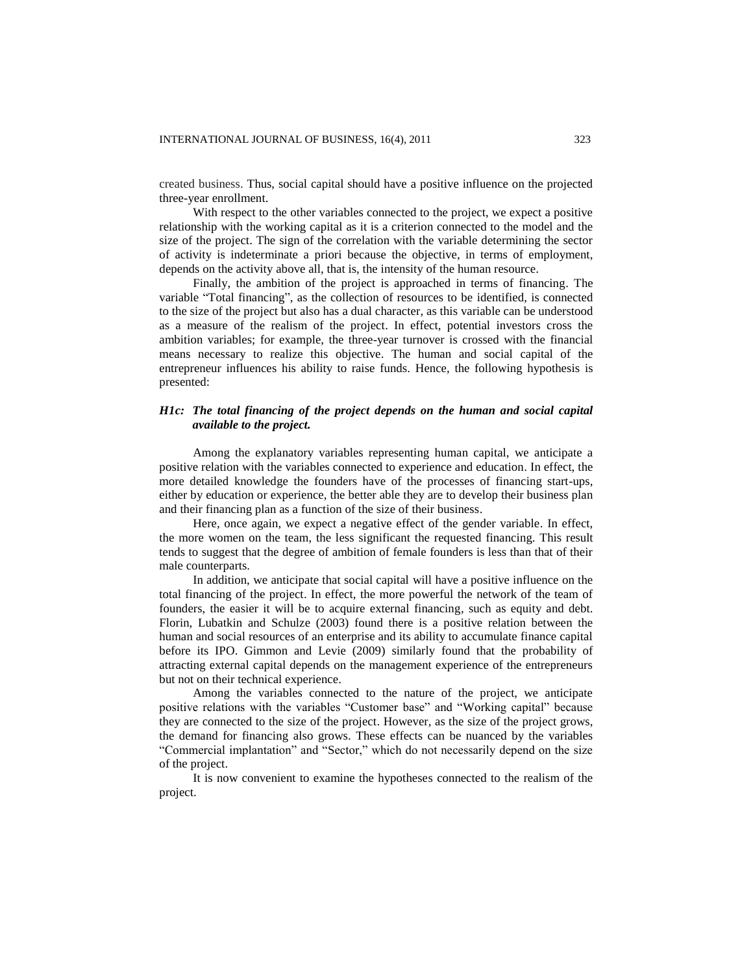created business. Thus, social capital should have a positive influence on the projected three-year enrollment.

With respect to the other variables connected to the project, we expect a positive relationship with the working capital as it is a criterion connected to the model and the size of the project. The sign of the correlation with the variable determining the sector of activity is indeterminate a priori because the objective, in terms of employment, depends on the activity above all, that is, the intensity of the human resource.

Finally, the ambition of the project is approached in terms of financing. The variable "Total financing", as the collection of resources to be identified, is connected to the size of the project but also has a dual character, as this variable can be understood as a measure of the realism of the project. In effect, potential investors cross the ambition variables; for example, the three-year turnover is crossed with the financial means necessary to realize this objective. The human and social capital of the entrepreneur influences his ability to raise funds. Hence, the following hypothesis is presented:

# *H1c: The total financing of the project depends on the human and social capital available to the project.*

Among the explanatory variables representing human capital, we anticipate a positive relation with the variables connected to experience and education. In effect, the more detailed knowledge the founders have of the processes of financing start-ups, either by education or experience, the better able they are to develop their business plan and their financing plan as a function of the size of their business.

Here, once again, we expect a negative effect of the gender variable. In effect, the more women on the team, the less significant the requested financing. This result tends to suggest that the degree of ambition of female founders is less than that of their male counterparts.

In addition, we anticipate that social capital will have a positive influence on the total financing of the project. In effect, the more powerful the network of the team of founders, the easier it will be to acquire external financing, such as equity and debt. Florin, Lubatkin and Schulze (2003) found there is a positive relation between the human and social resources of an enterprise and its ability to accumulate finance capital before its IPO. Gimmon and Levie (2009) similarly found that the probability of attracting external capital depends on the management experience of the entrepreneurs but not on their technical experience.

Among the variables connected to the nature of the project, we anticipate positive relations with the variables "Customer base" and "Working capital" because they are connected to the size of the project. However, as the size of the project grows, the demand for financing also grows. These effects can be nuanced by the variables "Commercial implantation" and "Sector," which do not necessarily depend on the size of the project.

It is now convenient to examine the hypotheses connected to the realism of the project.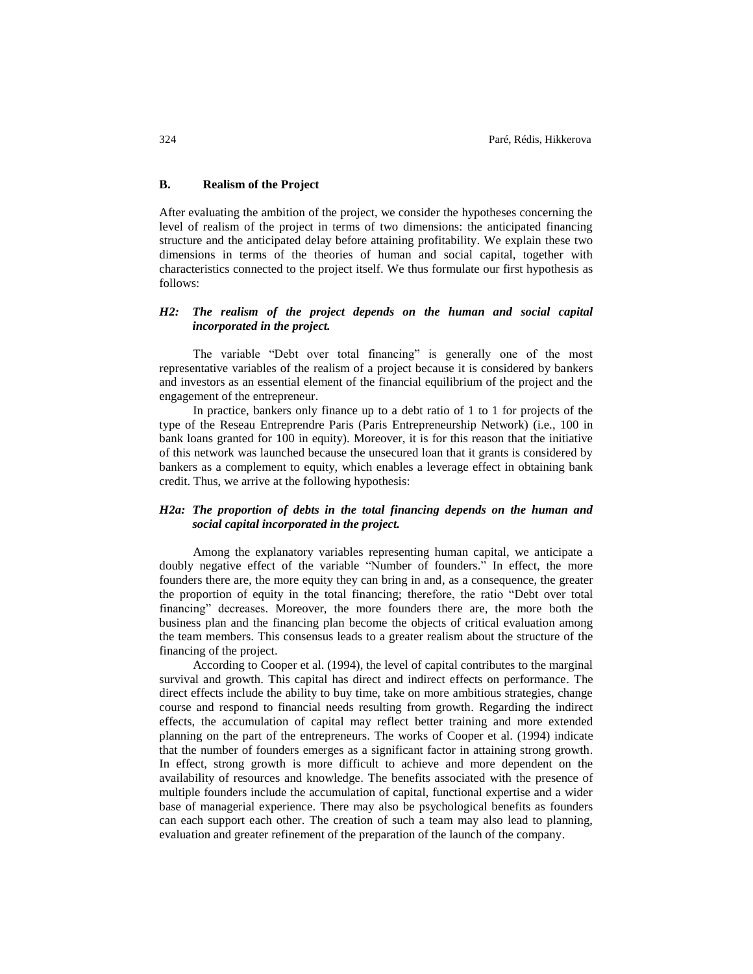# **B. Realism of the Project**

After evaluating the ambition of the project, we consider the hypotheses concerning the level of realism of the project in terms of two dimensions: the anticipated financing structure and the anticipated delay before attaining profitability. We explain these two dimensions in terms of the theories of human and social capital, together with characteristics connected to the project itself. We thus formulate our first hypothesis as follows:

# *H2: The realism of the project depends on the human and social capital incorporated in the project.*

The variable "Debt over total financing" is generally one of the most representative variables of the realism of a project because it is considered by bankers and investors as an essential element of the financial equilibrium of the project and the engagement of the entrepreneur.

In practice, bankers only finance up to a debt ratio of 1 to 1 for projects of the type of the Reseau Entreprendre Paris (Paris Entrepreneurship Network) (i.e., 100 in bank loans granted for 100 in equity). Moreover, it is for this reason that the initiative of this network was launched because the unsecured loan that it grants is considered by bankers as a complement to equity, which enables a leverage effect in obtaining bank credit. Thus, we arrive at the following hypothesis:

# *H2a: The proportion of debts in the total financing depends on the human and social capital incorporated in the project.*

Among the explanatory variables representing human capital, we anticipate a doubly negative effect of the variable "Number of founders." In effect, the more founders there are, the more equity they can bring in and, as a consequence, the greater the proportion of equity in the total financing; therefore, the ratio "Debt over total financing" decreases. Moreover, the more founders there are, the more both the business plan and the financing plan become the objects of critical evaluation among the team members. This consensus leads to a greater realism about the structure of the financing of the project.

According to Cooper et al. (1994), the level of capital contributes to the marginal survival and growth. This capital has direct and indirect effects on performance. The direct effects include the ability to buy time, take on more ambitious strategies, change course and respond to financial needs resulting from growth. Regarding the indirect effects, the accumulation of capital may reflect better training and more extended planning on the part of the entrepreneurs. The works of Cooper et al. (1994) indicate that the number of founders emerges as a significant factor in attaining strong growth. In effect, strong growth is more difficult to achieve and more dependent on the availability of resources and knowledge. The benefits associated with the presence of multiple founders include the accumulation of capital, functional expertise and a wider base of managerial experience. There may also be psychological benefits as founders can each support each other. The creation of such a team may also lead to planning, evaluation and greater refinement of the preparation of the launch of the company.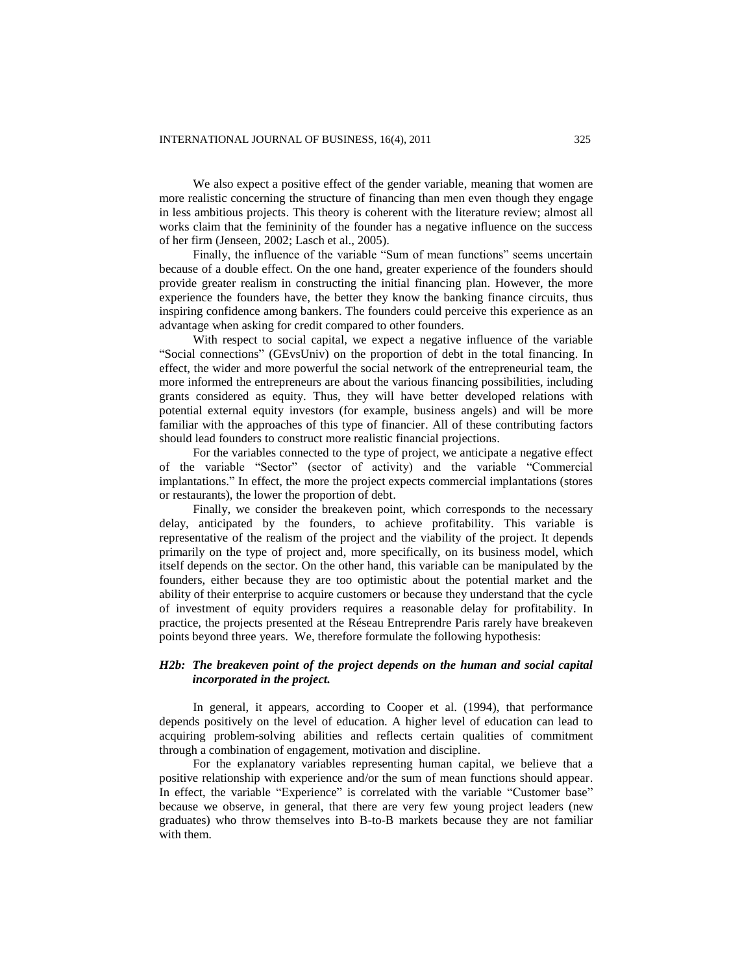We also expect a positive effect of the gender variable, meaning that women are more realistic concerning the structure of financing than men even though they engage in less ambitious projects. This theory is coherent with the literature review; almost all works claim that the femininity of the founder has a negative influence on the success of her firm (Jenseen, 2002; Lasch et al., 2005).

Finally, the influence of the variable "Sum of mean functions" seems uncertain because of a double effect. On the one hand, greater experience of the founders should provide greater realism in constructing the initial financing plan. However, the more experience the founders have, the better they know the banking finance circuits, thus inspiring confidence among bankers. The founders could perceive this experience as an advantage when asking for credit compared to other founders.

With respect to social capital, we expect a negative influence of the variable "Social connections" (GEvsUniv) on the proportion of debt in the total financing. In effect, the wider and more powerful the social network of the entrepreneurial team, the more informed the entrepreneurs are about the various financing possibilities, including grants considered as equity. Thus, they will have better developed relations with potential external equity investors (for example, business angels) and will be more familiar with the approaches of this type of financier. All of these contributing factors should lead founders to construct more realistic financial projections.

For the variables connected to the type of project, we anticipate a negative effect of the variable "Sector" (sector of activity) and the variable "Commercial implantations." In effect, the more the project expects commercial implantations (stores or restaurants), the lower the proportion of debt.

Finally, we consider the breakeven point, which corresponds to the necessary delay, anticipated by the founders, to achieve profitability. This variable is representative of the realism of the project and the viability of the project. It depends primarily on the type of project and, more specifically, on its business model, which itself depends on the sector. On the other hand, this variable can be manipulated by the founders, either because they are too optimistic about the potential market and the ability of their enterprise to acquire customers or because they understand that the cycle of investment of equity providers requires a reasonable delay for profitability. In practice, the projects presented at the Réseau Entreprendre Paris rarely have breakeven points beyond three years. We, therefore formulate the following hypothesis:

# *H2b: The breakeven point of the project depends on the human and social capital incorporated in the project.*

In general, it appears, according to Cooper et al. (1994), that performance depends positively on the level of education. A higher level of education can lead to acquiring problem-solving abilities and reflects certain qualities of commitment through a combination of engagement, motivation and discipline.

For the explanatory variables representing human capital, we believe that a positive relationship with experience and/or the sum of mean functions should appear. In effect, the variable "Experience" is correlated with the variable "Customer base" because we observe, in general, that there are very few young project leaders (new graduates) who throw themselves into B-to-B markets because they are not familiar with them.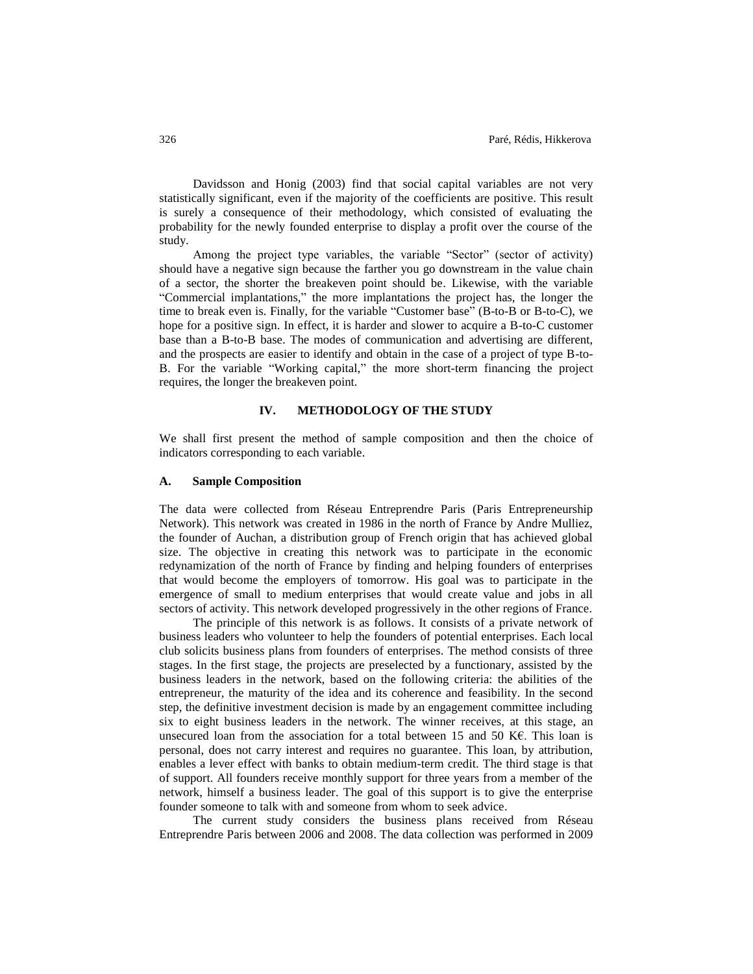Davidsson and Honig (2003) find that social capital variables are not very statistically significant, even if the majority of the coefficients are positive. This result is surely a consequence of their methodology, which consisted of evaluating the probability for the newly founded enterprise to display a profit over the course of the study.

Among the project type variables, the variable "Sector" (sector of activity) should have a negative sign because the farther you go downstream in the value chain of a sector, the shorter the breakeven point should be. Likewise, with the variable "Commercial implantations," the more implantations the project has, the longer the time to break even is. Finally, for the variable "Customer base" (B-to-B or B-to-C), we hope for a positive sign. In effect, it is harder and slower to acquire a B-to-C customer base than a B-to-B base. The modes of communication and advertising are different, and the prospects are easier to identify and obtain in the case of a project of type B-to-B. For the variable "Working capital," the more short-term financing the project requires, the longer the breakeven point.

# **IV. METHODOLOGY OF THE STUDY**

We shall first present the method of sample composition and then the choice of indicators corresponding to each variable.

#### **A. Sample Composition**

The data were collected from Réseau Entreprendre Paris (Paris Entrepreneurship Network). This network was created in 1986 in the north of France by Andre Mulliez, the founder of Auchan, a distribution group of French origin that has achieved global size. The objective in creating this network was to participate in the economic redynamization of the north of France by finding and helping founders of enterprises that would become the employers of tomorrow. His goal was to participate in the emergence of small to medium enterprises that would create value and jobs in all sectors of activity. This network developed progressively in the other regions of France.

The principle of this network is as follows. It consists of a private network of business leaders who volunteer to help the founders of potential enterprises. Each local club solicits business plans from founders of enterprises. The method consists of three stages. In the first stage, the projects are preselected by a functionary, assisted by the business leaders in the network, based on the following criteria: the abilities of the entrepreneur, the maturity of the idea and its coherence and feasibility. In the second step, the definitive investment decision is made by an engagement committee including six to eight business leaders in the network. The winner receives, at this stage, an unsecured loan from the association for a total between 15 and 50 KE. This loan is personal, does not carry interest and requires no guarantee. This loan, by attribution, enables a lever effect with banks to obtain medium-term credit. The third stage is that of support. All founders receive monthly support for three years from a member of the network, himself a business leader. The goal of this support is to give the enterprise founder someone to talk with and someone from whom to seek advice.

The current study considers the business plans received from Réseau Entreprendre Paris between 2006 and 2008. The data collection was performed in 2009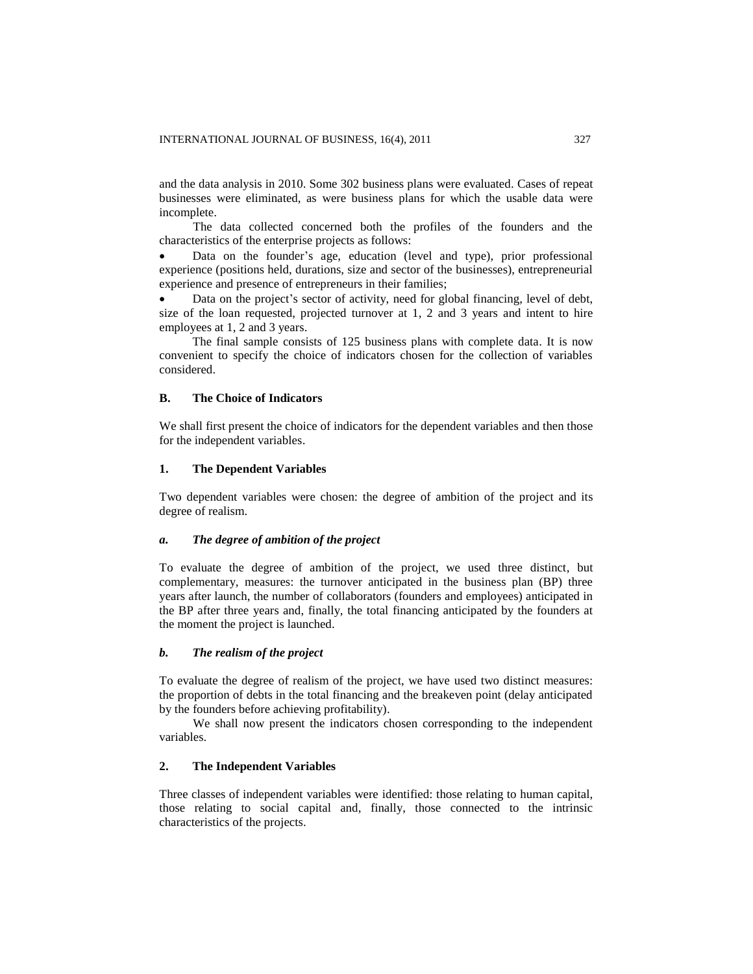and the data analysis in 2010. Some 302 business plans were evaluated. Cases of repeat businesses were eliminated, as were business plans for which the usable data were incomplete.

The data collected concerned both the profiles of the founders and the characteristics of the enterprise projects as follows:

 Data on the founder's age, education (level and type), prior professional experience (positions held, durations, size and sector of the businesses), entrepreneurial experience and presence of entrepreneurs in their families;

 Data on the project's sector of activity, need for global financing, level of debt, size of the loan requested, projected turnover at 1, 2 and 3 years and intent to hire employees at 1, 2 and 3 years.

The final sample consists of 125 business plans with complete data. It is now convenient to specify the choice of indicators chosen for the collection of variables considered.

# **B. The Choice of Indicators**

We shall first present the choice of indicators for the dependent variables and then those for the independent variables.

# **1. The Dependent Variables**

Two dependent variables were chosen: the degree of ambition of the project and its degree of realism.

# *a. The degree of ambition of the project*

To evaluate the degree of ambition of the project, we used three distinct, but complementary, measures: the turnover anticipated in the business plan (BP) three years after launch, the number of collaborators (founders and employees) anticipated in the BP after three years and, finally, the total financing anticipated by the founders at the moment the project is launched.

# *b. The realism of the project*

To evaluate the degree of realism of the project, we have used two distinct measures: the proportion of debts in the total financing and the breakeven point (delay anticipated by the founders before achieving profitability).

We shall now present the indicators chosen corresponding to the independent variables.

## **2. The Independent Variables**

Three classes of independent variables were identified: those relating to human capital, those relating to social capital and, finally, those connected to the intrinsic characteristics of the projects.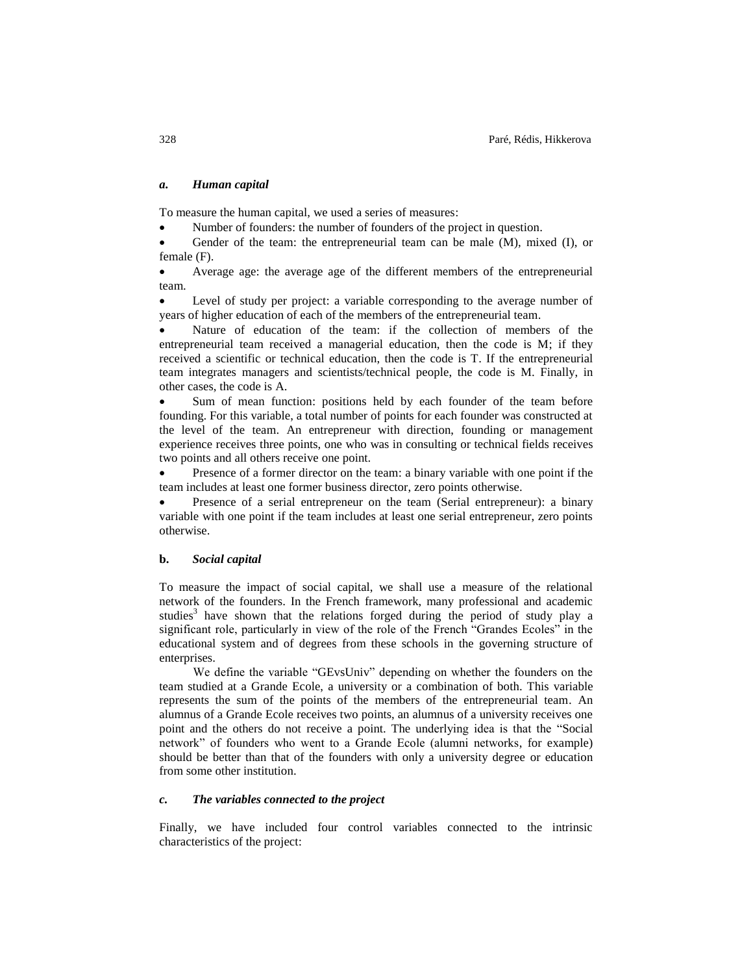#### *a. Human capital*

To measure the human capital, we used a series of measures:

Number of founders: the number of founders of the project in question.

 Gender of the team: the entrepreneurial team can be male (M), mixed (I), or female (F).

 Average age: the average age of the different members of the entrepreneurial team.

 Level of study per project: a variable corresponding to the average number of years of higher education of each of the members of the entrepreneurial team.

 Nature of education of the team: if the collection of members of the entrepreneurial team received a managerial education, then the code is M; if they received a scientific or technical education, then the code is T. If the entrepreneurial team integrates managers and scientists/technical people, the code is M. Finally, in other cases, the code is A.

 Sum of mean function: positions held by each founder of the team before founding. For this variable, a total number of points for each founder was constructed at the level of the team. An entrepreneur with direction, founding or management experience receives three points, one who was in consulting or technical fields receives two points and all others receive one point.

 Presence of a former director on the team: a binary variable with one point if the team includes at least one former business director, zero points otherwise.

 Presence of a serial entrepreneur on the team (Serial entrepreneur): a binary variable with one point if the team includes at least one serial entrepreneur, zero points otherwise.

#### **b.** *Social capital*

To measure the impact of social capital, we shall use a measure of the relational network of the founders. In the French framework, many professional and academic studies<sup>3</sup> have shown that the relations forged during the period of study play a significant role, particularly in view of the role of the French "Grandes Ecoles" in the educational system and of degrees from these schools in the governing structure of enterprises.

We define the variable "GEvsUniv" depending on whether the founders on the team studied at a Grande Ecole, a university or a combination of both. This variable represents the sum of the points of the members of the entrepreneurial team. An alumnus of a Grande Ecole receives two points, an alumnus of a university receives one point and the others do not receive a point. The underlying idea is that the "Social network" of founders who went to a Grande Ecole (alumni networks, for example) should be better than that of the founders with only a university degree or education from some other institution.

## *c. The variables connected to the project*

Finally, we have included four control variables connected to the intrinsic characteristics of the project: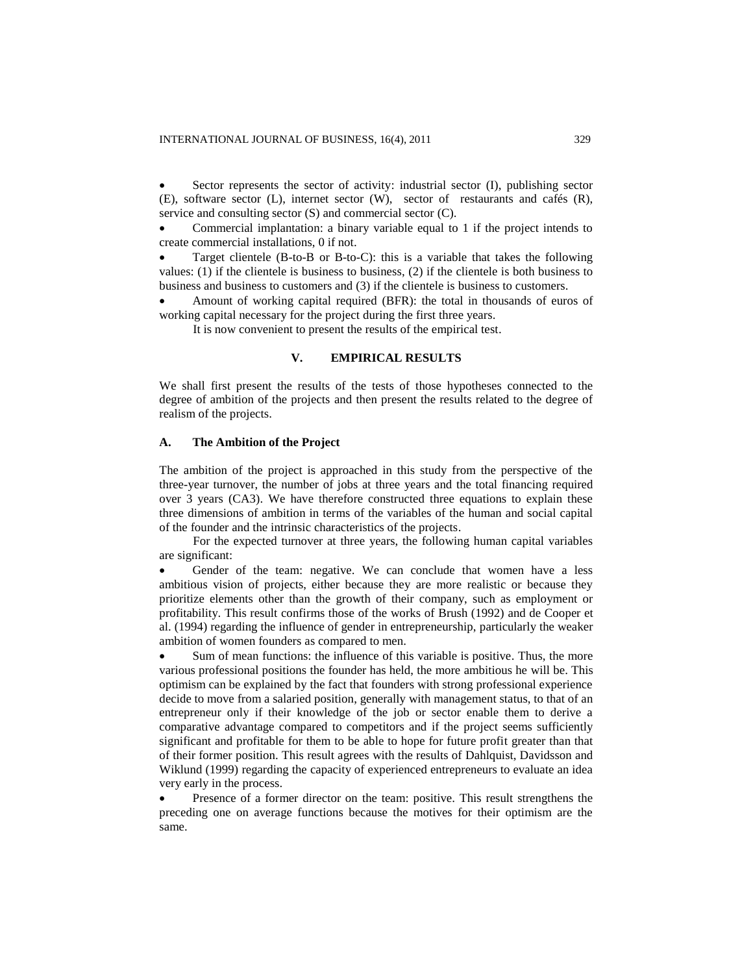Sector represents the sector of activity: industrial sector (I), publishing sector (E), software sector (L), internet sector (W), sector of restaurants and cafés (R), service and consulting sector (S) and commercial sector (C).

 Commercial implantation: a binary variable equal to 1 if the project intends to create commercial installations, 0 if not.

 Target clientele (B-to-B or B-to-C): this is a variable that takes the following values: (1) if the clientele is business to business, (2) if the clientele is both business to business and business to customers and (3) if the clientele is business to customers.

 Amount of working capital required (BFR): the total in thousands of euros of working capital necessary for the project during the first three years.

It is now convenient to present the results of the empirical test.

# **V. EMPIRICAL RESULTS**

We shall first present the results of the tests of those hypotheses connected to the degree of ambition of the projects and then present the results related to the degree of realism of the projects.

#### **A. The Ambition of the Project**

The ambition of the project is approached in this study from the perspective of the three-year turnover, the number of jobs at three years and the total financing required over 3 years (CA3). We have therefore constructed three equations to explain these three dimensions of ambition in terms of the variables of the human and social capital of the founder and the intrinsic characteristics of the projects.

For the expected turnover at three years, the following human capital variables are significant:

 Gender of the team: negative. We can conclude that women have a less ambitious vision of projects, either because they are more realistic or because they prioritize elements other than the growth of their company, such as employment or profitability. This result confirms those of the works of Brush (1992) and de Cooper et al. (1994) regarding the influence of gender in entrepreneurship, particularly the weaker ambition of women founders as compared to men.

 Sum of mean functions: the influence of this variable is positive. Thus, the more various professional positions the founder has held, the more ambitious he will be. This optimism can be explained by the fact that founders with strong professional experience decide to move from a salaried position, generally with management status, to that of an entrepreneur only if their knowledge of the job or sector enable them to derive a comparative advantage compared to competitors and if the project seems sufficiently significant and profitable for them to be able to hope for future profit greater than that of their former position. This result agrees with the results of Dahlquist, Davidsson and Wiklund (1999) regarding the capacity of experienced entrepreneurs to evaluate an idea very early in the process.

 Presence of a former director on the team: positive. This result strengthens the preceding one on average functions because the motives for their optimism are the same.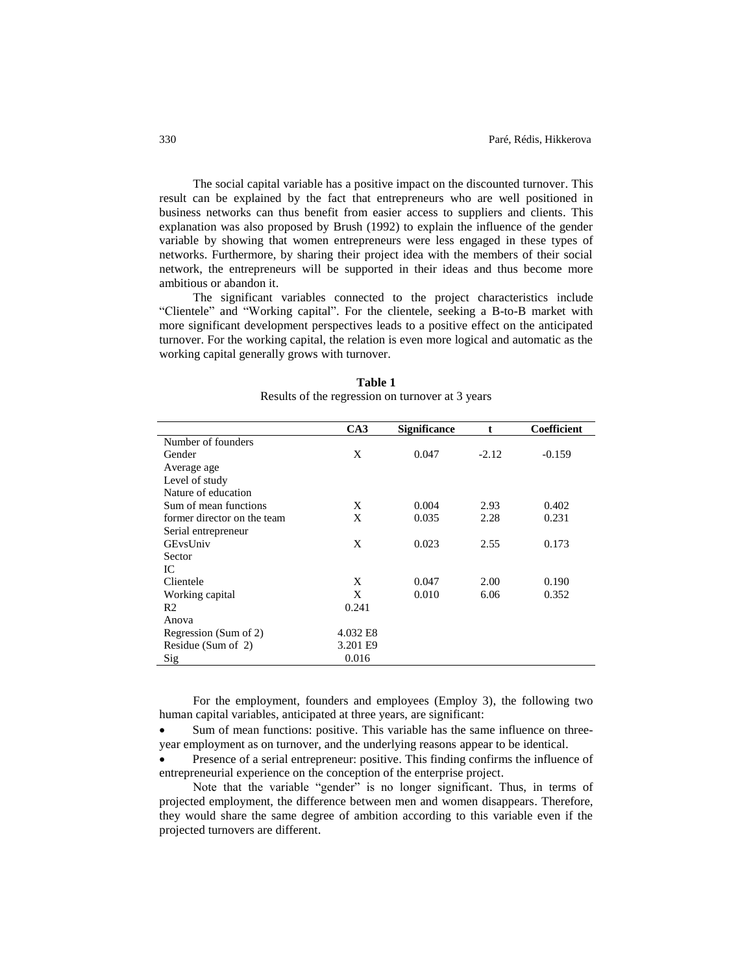The social capital variable has a positive impact on the discounted turnover. This result can be explained by the fact that entrepreneurs who are well positioned in business networks can thus benefit from easier access to suppliers and clients. This explanation was also proposed by Brush (1992) to explain the influence of the gender variable by showing that women entrepreneurs were less engaged in these types of networks. Furthermore, by sharing their project idea with the members of their social network, the entrepreneurs will be supported in their ideas and thus become more ambitious or abandon it.

The significant variables connected to the project characteristics include "Clientele" and "Working capital". For the clientele, seeking a B-to-B market with more significant development perspectives leads to a positive effect on the anticipated turnover. For the working capital, the relation is even more logical and automatic as the working capital generally grows with turnover.

|                             | CA3      | <b>Significance</b> |         | Coefficient |
|-----------------------------|----------|---------------------|---------|-------------|
| Number of founders          |          |                     |         |             |
| Gender                      | X        | 0.047               | $-2.12$ | $-0.159$    |
| Average age                 |          |                     |         |             |
| Level of study              |          |                     |         |             |
| Nature of education         |          |                     |         |             |
| Sum of mean functions       | X        | 0.004               | 2.93    | 0.402       |
| former director on the team | X        | 0.035               | 2.28    | 0.231       |
| Serial entrepreneur         |          |                     |         |             |
| GEvsUniv                    | X        | 0.023               | 2.55    | 0.173       |
| Sector                      |          |                     |         |             |
| IC.                         |          |                     |         |             |
| Clientele                   | X        | 0.047               | 2.00    | 0.190       |
| Working capital             | X        | 0.010               | 6.06    | 0.352       |
| R <sub>2</sub>              | 0.241    |                     |         |             |
| Anova                       |          |                     |         |             |
| Regression (Sum of 2)       | 4.032 E8 |                     |         |             |
| Residue (Sum of 2)          | 3.201 E9 |                     |         |             |
| Sig                         | 0.016    |                     |         |             |

**Table 1** Results of the regression on turnover at 3 years

For the employment, founders and employees (Employ 3), the following two human capital variables, anticipated at three years, are significant:

 Sum of mean functions: positive. This variable has the same influence on threeyear employment as on turnover, and the underlying reasons appear to be identical.

 Presence of a serial entrepreneur: positive. This finding confirms the influence of entrepreneurial experience on the conception of the enterprise project.

Note that the variable "gender" is no longer significant. Thus, in terms of projected employment, the difference between men and women disappears. Therefore, they would share the same degree of ambition according to this variable even if the projected turnovers are different.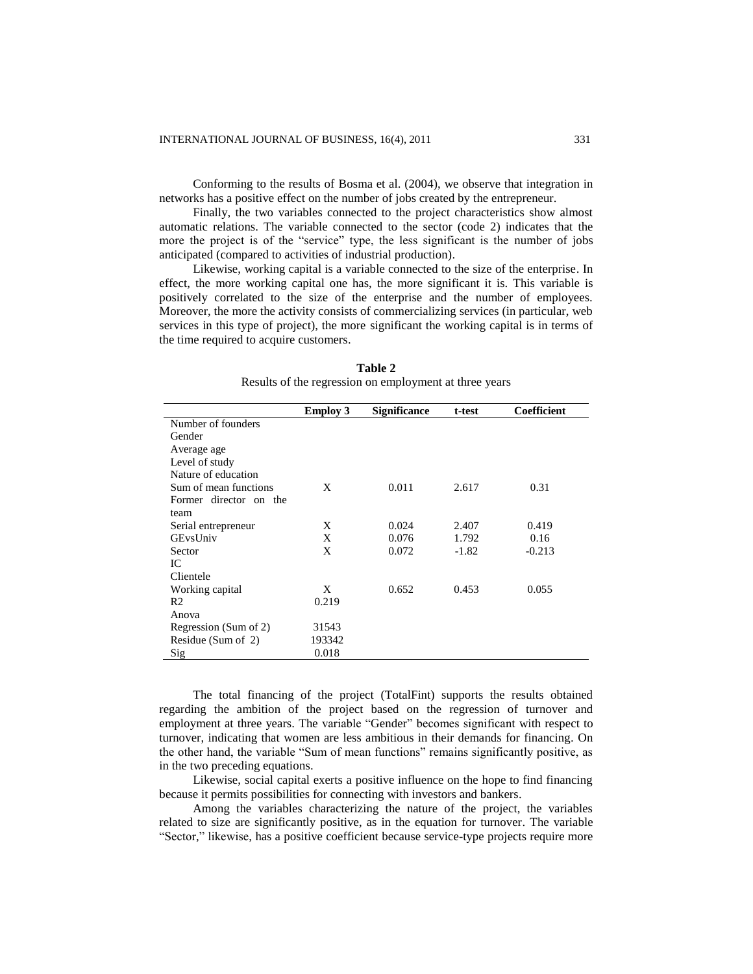Conforming to the results of Bosma et al. (2004), we observe that integration in networks has a positive effect on the number of jobs created by the entrepreneur.

Finally, the two variables connected to the project characteristics show almost automatic relations. The variable connected to the sector (code 2) indicates that the more the project is of the "service" type, the less significant is the number of jobs anticipated (compared to activities of industrial production).

Likewise, working capital is a variable connected to the size of the enterprise. In effect, the more working capital one has, the more significant it is. This variable is positively correlated to the size of the enterprise and the number of employees. Moreover, the more the activity consists of commercializing services (in particular, web services in this type of project), the more significant the working capital is in terms of the time required to acquire customers.

|                        | <b>Employ 3</b> | <b>Significance</b> | t-test  | Coefficient |
|------------------------|-----------------|---------------------|---------|-------------|
| Number of founders     |                 |                     |         |             |
| Gender                 |                 |                     |         |             |
| Average age            |                 |                     |         |             |
| Level of study         |                 |                     |         |             |
| Nature of education    |                 |                     |         |             |
| Sum of mean functions  | X               | 0.011               | 2.617   | 0.31        |
| Former director on the |                 |                     |         |             |
| team                   |                 |                     |         |             |
| Serial entrepreneur    | X               | 0.024               | 2.407   | 0.419       |
| GEvsUniv               | X               | 0.076               | 1.792   | 0.16        |
| Sector                 | X               | 0.072               | $-1.82$ | $-0.213$    |
| IC                     |                 |                     |         |             |
| Clientele              |                 |                     |         |             |
| Working capital        | X               | 0.652               | 0.453   | 0.055       |
| R <sub>2</sub>         | 0.219           |                     |         |             |
| Anova                  |                 |                     |         |             |
| Regression (Sum of 2)  | 31543           |                     |         |             |
| Residue (Sum of 2)     | 193342          |                     |         |             |
| Sig                    | 0.018           |                     |         |             |

**Table 2** Results of the regression on employment at three years

The total financing of the project (TotalFint) supports the results obtained regarding the ambition of the project based on the regression of turnover and employment at three years. The variable "Gender" becomes significant with respect to turnover, indicating that women are less ambitious in their demands for financing. On the other hand, the variable "Sum of mean functions" remains significantly positive, as in the two preceding equations.

Likewise, social capital exerts a positive influence on the hope to find financing because it permits possibilities for connecting with investors and bankers.

Among the variables characterizing the nature of the project, the variables related to size are significantly positive, as in the equation for turnover. The variable "Sector," likewise, has a positive coefficient because service-type projects require more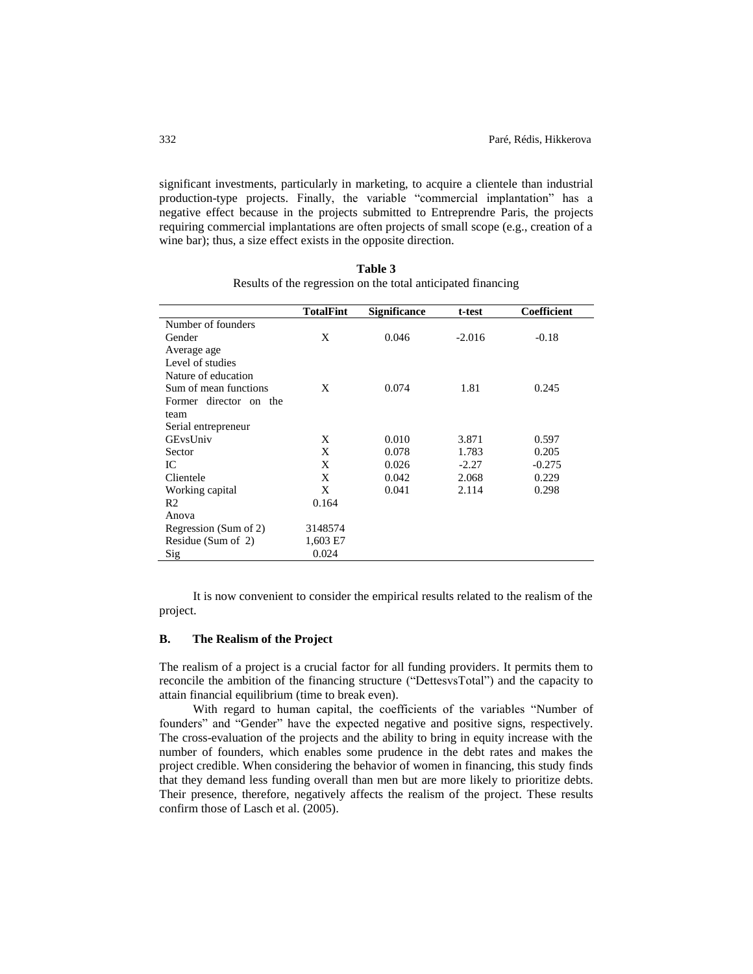significant investments, particularly in marketing, to acquire a clientele than industrial production-type projects. Finally, the variable "commercial implantation" has a negative effect because in the projects submitted to Entreprendre Paris, the projects requiring commercial implantations are often projects of small scope (e.g., creation of a wine bar); thus, a size effect exists in the opposite direction.

|                        | <b>TotalFint</b> | <b>Significance</b> | t-test   | Coefficient |
|------------------------|------------------|---------------------|----------|-------------|
| Number of founders     |                  |                     |          |             |
| Gender                 | X                | 0.046               | $-2.016$ | $-0.18$     |
| Average age            |                  |                     |          |             |
| Level of studies       |                  |                     |          |             |
| Nature of education    |                  |                     |          |             |
| Sum of mean functions  | X                | 0.074               | 1.81     | 0.245       |
| Former director on the |                  |                     |          |             |
| team                   |                  |                     |          |             |
| Serial entrepreneur    |                  |                     |          |             |
| GEvsUniv               | X                | 0.010               | 3.871    | 0.597       |
| Sector                 | X                | 0.078               | 1.783    | 0.205       |
| IС                     | X                | 0.026               | $-2.27$  | $-0.275$    |
| Clientele              | X                | 0.042               | 2.068    | 0.229       |
| Working capital        | X                | 0.041               | 2.114    | 0.298       |
| R <sub>2</sub>         | 0.164            |                     |          |             |
| Anova                  |                  |                     |          |             |
| Regression (Sum of 2)  | 3148574          |                     |          |             |
| Residue (Sum of 2)     | 1,603 E7         |                     |          |             |
| Sig                    | 0.024            |                     |          |             |

**Table 3** Results of the regression on the total anticipated financing

It is now convenient to consider the empirical results related to the realism of the project.

#### **B. The Realism of the Project**

The realism of a project is a crucial factor for all funding providers. It permits them to reconcile the ambition of the financing structure ("DettesvsTotal") and the capacity to attain financial equilibrium (time to break even).

With regard to human capital, the coefficients of the variables "Number of founders" and "Gender" have the expected negative and positive signs, respectively. The cross-evaluation of the projects and the ability to bring in equity increase with the number of founders, which enables some prudence in the debt rates and makes the project credible. When considering the behavior of women in financing, this study finds that they demand less funding overall than men but are more likely to prioritize debts. Their presence, therefore, negatively affects the realism of the project. These results confirm those of Lasch et al. (2005).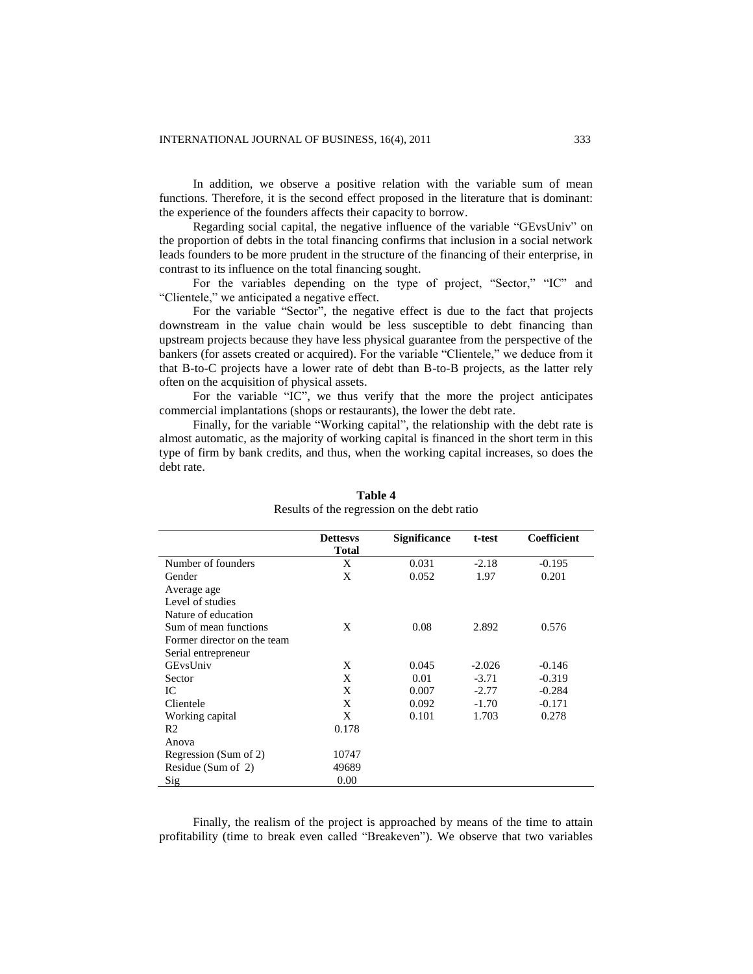In addition, we observe a positive relation with the variable sum of mean functions. Therefore, it is the second effect proposed in the literature that is dominant: the experience of the founders affects their capacity to borrow.

Regarding social capital, the negative influence of the variable "GEvsUniv" on the proportion of debts in the total financing confirms that inclusion in a social network leads founders to be more prudent in the structure of the financing of their enterprise, in contrast to its influence on the total financing sought.

For the variables depending on the type of project, "Sector," "IC" and "Clientele," we anticipated a negative effect.

For the variable "Sector", the negative effect is due to the fact that projects downstream in the value chain would be less susceptible to debt financing than upstream projects because they have less physical guarantee from the perspective of the bankers (for assets created or acquired). For the variable "Clientele," we deduce from it that B-to-C projects have a lower rate of debt than B-to-B projects, as the latter rely often on the acquisition of physical assets.

For the variable "IC", we thus verify that the more the project anticipates commercial implantations (shops or restaurants), the lower the debt rate.

Finally, for the variable "Working capital", the relationship with the debt rate is almost automatic, as the majority of working capital is financed in the short term in this type of firm by bank credits, and thus, when the working capital increases, so does the debt rate.

|                             | <b>Dettesys</b> | <b>Significance</b> | t-test   | <b>Coefficient</b> |
|-----------------------------|-----------------|---------------------|----------|--------------------|
|                             | <b>Total</b>    |                     |          |                    |
| Number of founders          | X               | 0.031               | $-2.18$  | $-0.195$           |
| Gender                      | X               | 0.052               | 1.97     | 0.201              |
| Average age                 |                 |                     |          |                    |
| Level of studies            |                 |                     |          |                    |
| Nature of education         |                 |                     |          |                    |
| Sum of mean functions       | X               | 0.08                | 2.892    | 0.576              |
| Former director on the team |                 |                     |          |                    |
| Serial entrepreneur         |                 |                     |          |                    |
| GEvsUniv                    | X               | 0.045               | $-2.026$ | $-0.146$           |
| Sector                      | X               | 0.01                | $-3.71$  | $-0.319$           |
| IC.                         | X               | 0.007               | $-2.77$  | $-0.284$           |
| Clientele                   | X               | 0.092               | $-1.70$  | $-0.171$           |
| Working capital             | X               | 0.101               | 1.703    | 0.278              |
| R <sub>2</sub>              | 0.178           |                     |          |                    |
| Anova                       |                 |                     |          |                    |
| Regression (Sum of 2)       | 10747           |                     |          |                    |
| Residue (Sum of 2)          | 49689           |                     |          |                    |
| Sig                         | 0.00            |                     |          |                    |
|                             |                 |                     |          |                    |

**Table 4** Results of the regression on the debt ratio

Finally, the realism of the project is approached by means of the time to attain profitability (time to break even called "Breakeven"). We observe that two variables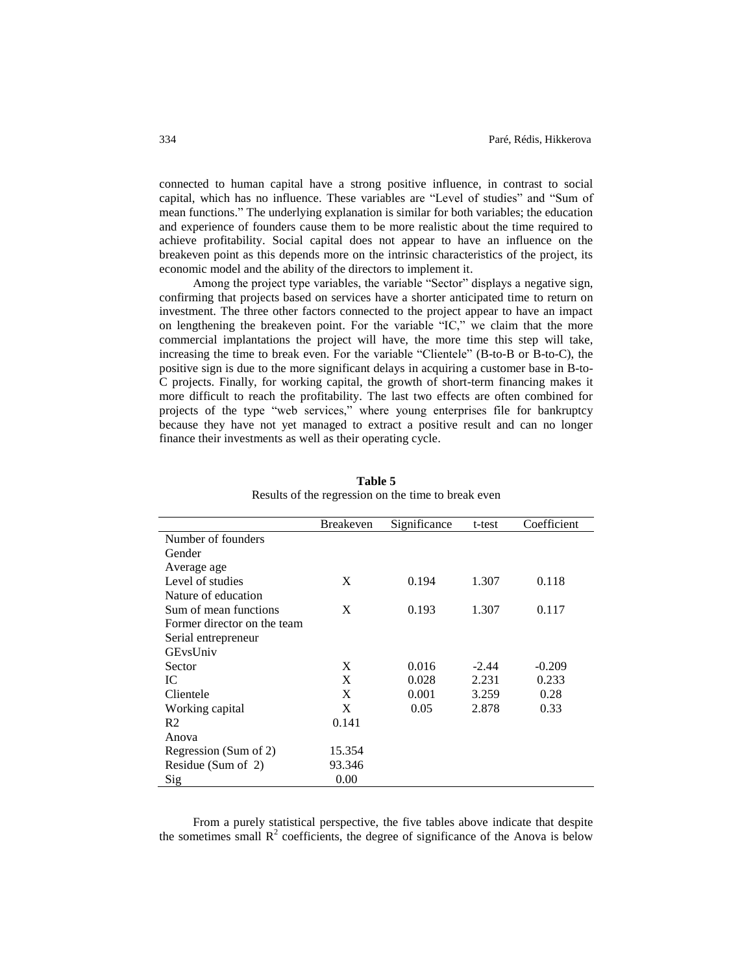connected to human capital have a strong positive influence, in contrast to social capital, which has no influence. These variables are "Level of studies" and "Sum of mean functions." The underlying explanation is similar for both variables; the education and experience of founders cause them to be more realistic about the time required to achieve profitability. Social capital does not appear to have an influence on the breakeven point as this depends more on the intrinsic characteristics of the project, its economic model and the ability of the directors to implement it.

Among the project type variables, the variable "Sector" displays a negative sign, confirming that projects based on services have a shorter anticipated time to return on investment. The three other factors connected to the project appear to have an impact on lengthening the breakeven point. For the variable "IC," we claim that the more commercial implantations the project will have, the more time this step will take, increasing the time to break even. For the variable "Clientele" (B-to-B or B-to-C), the positive sign is due to the more significant delays in acquiring a customer base in B-to-C projects. Finally, for working capital, the growth of short-term financing makes it more difficult to reach the profitability. The last two effects are often combined for projects of the type "web services," where young enterprises file for bankruptcy because they have not yet managed to extract a positive result and can no longer finance their investments as well as their operating cycle.

|                             | <b>Breakeven</b> | Significance | t-test  | Coefficient |
|-----------------------------|------------------|--------------|---------|-------------|
| Number of founders          |                  |              |         |             |
| Gender                      |                  |              |         |             |
| Average age                 |                  |              |         |             |
| Level of studies            | X                | 0.194        | 1.307   | 0.118       |
| Nature of education         |                  |              |         |             |
| Sum of mean functions       | X                | 0.193        | 1.307   | 0.117       |
| Former director on the team |                  |              |         |             |
| Serial entrepreneur         |                  |              |         |             |
| GEvsUniv                    |                  |              |         |             |
| Sector                      | X                | 0.016        | $-2.44$ | $-0.209$    |
| IС                          | X                | 0.028        | 2.231   | 0.233       |
| Clientele                   | X                | 0.001        | 3.259   | 0.28        |
| Working capital             | X                | 0.05         | 2.878   | 0.33        |
| R <sub>2</sub>              | 0.141            |              |         |             |
| Anova                       |                  |              |         |             |
| Regression (Sum of 2)       | 15.354           |              |         |             |
| Residue (Sum of 2)          | 93.346           |              |         |             |
| Sig                         | 0.00             |              |         |             |

**Table 5** Results of the regression on the time to break even

From a purely statistical perspective, the five tables above indicate that despite the sometimes small  $\mathbb{R}^2$  coefficients, the degree of significance of the Anova is below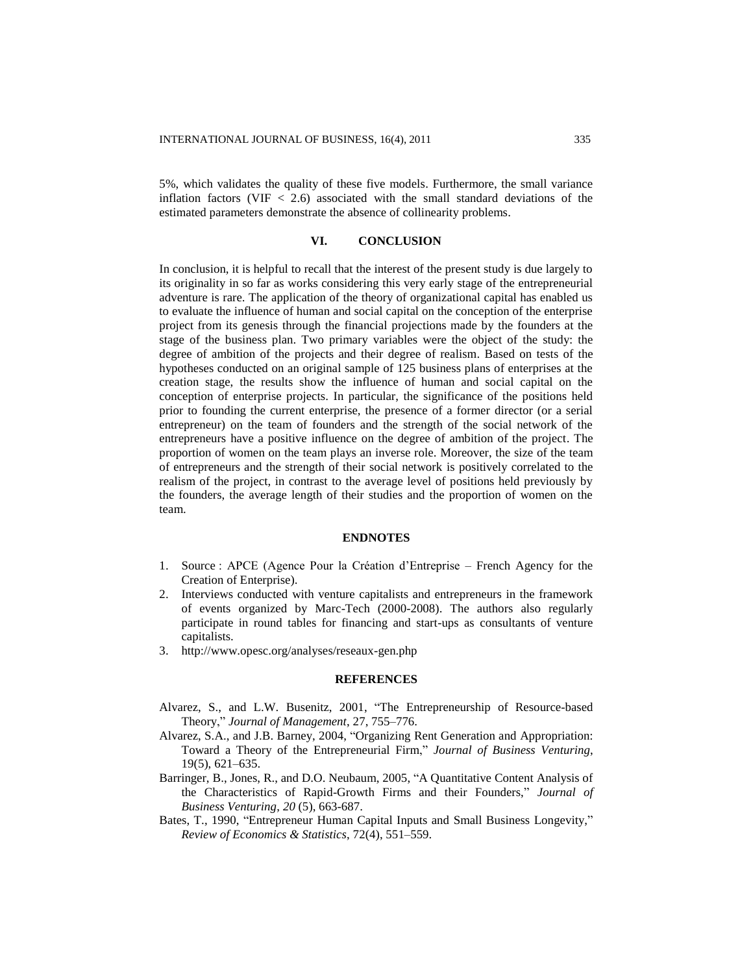5%, which validates the quality of these five models. Furthermore, the small variance inflation factors (VIF  $\langle$  2.6) associated with the small standard deviations of the estimated parameters demonstrate the absence of collinearity problems.

#### **VI. CONCLUSION**

In conclusion, it is helpful to recall that the interest of the present study is due largely to its originality in so far as works considering this very early stage of the entrepreneurial adventure is rare. The application of the theory of organizational capital has enabled us to evaluate the influence of human and social capital on the conception of the enterprise project from its genesis through the financial projections made by the founders at the stage of the business plan. Two primary variables were the object of the study: the degree of ambition of the projects and their degree of realism. Based on tests of the hypotheses conducted on an original sample of 125 business plans of enterprises at the creation stage, the results show the influence of human and social capital on the conception of enterprise projects. In particular, the significance of the positions held prior to founding the current enterprise, the presence of a former director (or a serial entrepreneur) on the team of founders and the strength of the social network of the entrepreneurs have a positive influence on the degree of ambition of the project. The proportion of women on the team plays an inverse role. Moreover, the size of the team of entrepreneurs and the strength of their social network is positively correlated to the realism of the project, in contrast to the average level of positions held previously by the founders, the average length of their studies and the proportion of women on the team.

#### **ENDNOTES**

- 1. Source : APCE (Agence Pour la Création d'Entreprise French Agency for the Creation of Enterprise).
- 2. Interviews conducted with venture capitalists and entrepreneurs in the framework of events organized by Marc-Tech (2000-2008). The authors also regularly participate in round tables for financing and start-ups as consultants of venture capitalists.
- 3. <http://www.opesc.org/analyses/reseaux-gen.php>

#### **REFERENCES**

- Alvarez, S., and L.W. Busenitz, 2001, "The Entrepreneurship of Resource-based Theory," *Journal of Management*, 27, 755–776.
- Alvarez, S.A., and J.B. Barney, 2004, "Organizing Rent Generation and Appropriation: Toward a Theory of the Entrepreneurial Firm," *Journal of Business Venturing*, 19(5), 621–635.
- Barringer, B., Jones, R., and D.O. Neubaum, 2005, "A Quantitative Content Analysis of the Characteristics of Rapid-Growth Firms and their Founders," *Journal of Business Venturing*, *20* (5), 663-687.
- Bates, T., 1990, "Entrepreneur Human Capital Inputs and Small Business Longevity," *Review of Economics & Statistics*, 72(4), 551–559.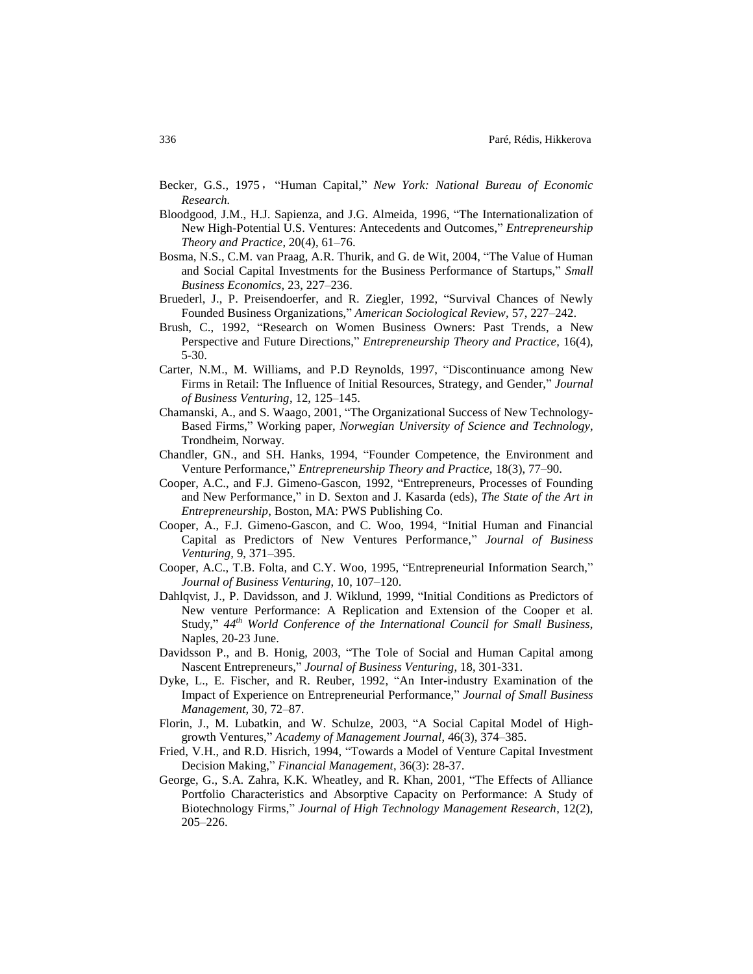Becker, G.S., 1975,"Human Capital," *New York: National Bureau of Economic Research.*

- Bloodgood, J.M., H.J. Sapienza, and J.G. Almeida, 1996, "The Internationalization of New High-Potential U.S. Ventures: Antecedents and Outcomes," *Entrepreneurship Theory and Practice*, 20(4), 61–76.
- Bosma, N.S., C.M. van Praag, A.R. Thurik, and G. de Wit, 2004, "The Value of Human and Social Capital Investments for the Business Performance of Startups," *Small Business Economics,* 23, 227–236.
- Bruederl, J., P. Preisendoerfer, and R. Ziegler, 1992, "Survival Chances of Newly Founded Business Organizations," *American Sociological Review,* 57, 227–242.
- Brush, C., 1992, "Research on Women Business Owners: Past Trends, a New Perspective and Future Directions," *Entrepreneurship Theory and Practice,* 16(4), 5-30.
- Carter, N.M., M. Williams, and P.D Reynolds, 1997, "Discontinuance among New Firms in Retail: The Influence of Initial Resources, Strategy, and Gender," *Journal of Business Venturing*, 12, 125–145.
- Chamanski, A., and S. Waago, 2001, "The Organizational Success of New Technology-Based Firms," Working paper, *Norwegian University of Science and Technology*, Trondheim, Norway.
- Chandler, GN., and SH. Hanks, 1994, "Founder Competence, the Environment and Venture Performance," *Entrepreneurship Theory and Practice,* 18(3), 77–90.
- Cooper, A.C., and F.J. Gimeno-Gascon, 1992, "Entrepreneurs, Processes of Founding and New Performance," in D. Sexton and J. Kasarda (eds), *The State of the Art in Entrepreneurship*, Boston, MA: PWS Publishing Co.
- Cooper, A., F.J. Gimeno-Gascon, and C. Woo, 1994, "Initial Human and Financial Capital as Predictors of New Ventures Performance," *Journal of Business Venturing,* 9, 371–395.
- Cooper, A.C., T.B. Folta, and C.Y. Woo, 1995, "Entrepreneurial Information Search," *Journal of Business Venturing*, 10, 107–120.
- Dahlqvist, J., P. Davidsson, and J. Wiklund, 1999, "Initial Conditions as Predictors of New venture Performance: A Replication and Extension of the Cooper et al. Study," *44th World Conference of the International Council for Small Business*, Naples, 20-23 June.
- Davidsson P., and B. Honig, 2003, "The Tole of Social and Human Capital among Nascent Entrepreneurs," *Journal of Business Venturing*, 18, 301-331.
- Dyke, L., E. Fischer, and R. Reuber, 1992, "An Inter-industry Examination of the Impact of Experience on Entrepreneurial Performance," *Journal of Small Business Management,* 30, 72–87.
- Florin, J., M. Lubatkin, and W. Schulze, 2003, "A Social Capital Model of Highgrowth Ventures," *Academy of Management Journal*, 46(3), 374–385.
- Fried, V.H., and R.D. Hisrich, 1994, "Towards a Model of Venture Capital Investment Decision Making," *Financial Management*, 36(3): 28-37.
- George, G., S.A. Zahra, K.K. Wheatley, and R. Khan, 2001, "The Effects of Alliance Portfolio Characteristics and Absorptive Capacity on Performance: A Study of Biotechnology Firms," *Journal of High Technology Management Research*, 12(2), 205–226.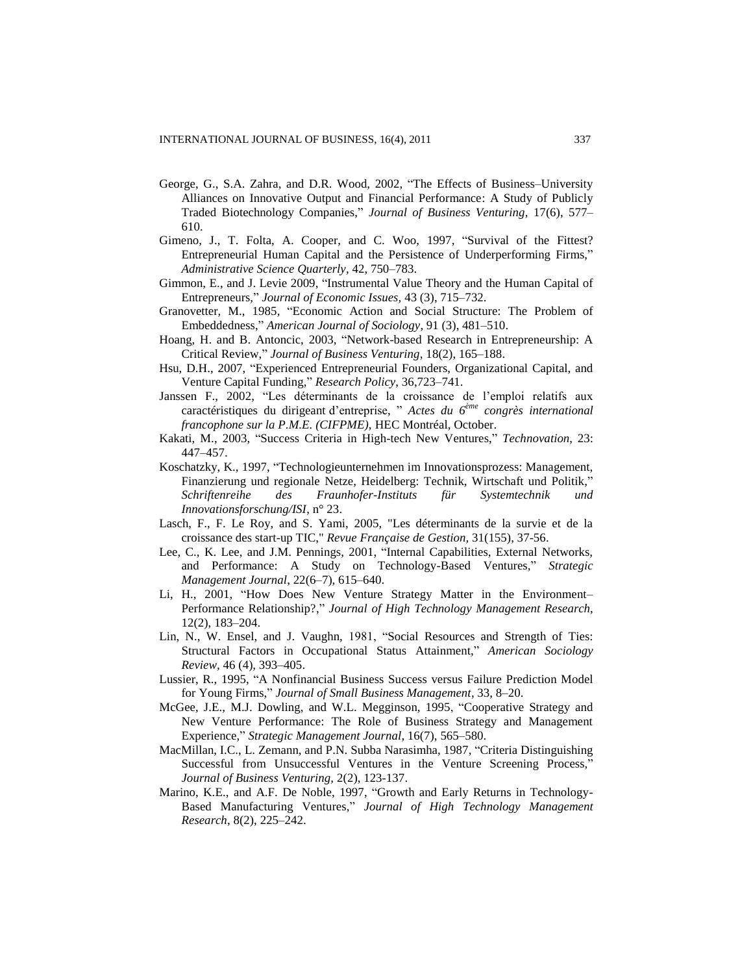- George, G., S.A. Zahra, and D.R. Wood, 2002, "The Effects of Business–University Alliances on Innovative Output and Financial Performance: A Study of Publicly Traded Biotechnology Companies," *Journal of Business Venturing,* 17(6), 577– 610.
- Gimeno, J., T. Folta, A. Cooper, and C. Woo, 1997, "Survival of the Fittest? Entrepreneurial Human Capital and the Persistence of Underperforming Firms," *Administrative Science Quarterly,* 42, 750–783.
- Gimmon, E., and J. Levie 2009, "Instrumental Value Theory and the Human Capital of Entrepreneurs," *Journal of Economic Issues,* 43 (3), 715–732.
- Granovetter, M., 1985, "Economic Action and Social Structure: The Problem of Embeddedness," *American Journal of Sociology*, 91 (3), 481–510.
- Hoang, H. and B. Antoncic, 2003, "Network-based Research in Entrepreneurship: A Critical Review," *Journal of Business Venturing*, 18(2), 165–188.
- Hsu, D.H., 2007, "Experienced Entrepreneurial Founders, Organizational Capital, and Venture Capital Funding," *Research Policy*, 36,723–741.
- Janssen F., 2002, "Les déterminants de la croissance de l'emploi relatifs aux caractéristiques du dirigeant d'entreprise, " *Actes du 6ème congrès international francophone sur la P.M.E. (CIFPME),* HEC Montréal, October.
- Kakati, M., 2003, "Success Criteria in High-tech New Ventures," *Technovation*, 23: 447–457.
- Koschatzky, K., 1997, "Technologieunternehmen im Innovationsprozess: Management, Finanzierung und regionale Netze, Heidelberg: Technik, Wirtschaft und Politik," *Schriftenreihe des Fraunhofer-Instituts für Systemtechnik und Innovationsforschung/ISI*, n° 23.
- Lasch, F., F. Le Roy, and S. Yami, 2005, "Les déterminants de la survie et de la croissance des start-up TIC," *Revue Française de Gestion,* 31(155), 37-56.
- Lee, C., K. Lee, and J.M. Pennings, 2001, "Internal Capabilities, External Networks, and Performance: A Study on Technology-Based Ventures," *Strategic Management Journal*, 22(6–7), 615–640.
- Li, H., 2001, "How Does New Venture Strategy Matter in the Environment– Performance Relationship?," *Journal of High Technology Management Research*, 12(2), 183–204.
- Lin, N., W. Ensel, and J. Vaughn, 1981, "Social Resources and Strength of Ties: Structural Factors in Occupational Status Attainment," *American Sociology Review,* 46 (4), 393–405.
- Lussier, R., 1995, "A Nonfinancial Business Success versus Failure Prediction Model for Young Firms," *Journal of Small Business Management,* 33, 8–20.
- McGee, J.E., M.J. Dowling, and W.L. Megginson, 1995, "Cooperative Strategy and New Venture Performance: The Role of Business Strategy and Management Experience," *Strategic Management Journal*, 16(7), 565–580.
- MacMillan, I.C., L. Zemann, and P.N. Subba Narasimha, 1987, "Criteria Distinguishing Successful from Unsuccessful Ventures in the Venture Screening Process," *Journal of Business Venturing,* 2(2), 123-137.
- Marino, K.E., and A.F. De Noble, 1997, "Growth and Early Returns in Technology-Based Manufacturing Ventures," *Journal of High Technology Management Research*, 8(2), 225–242.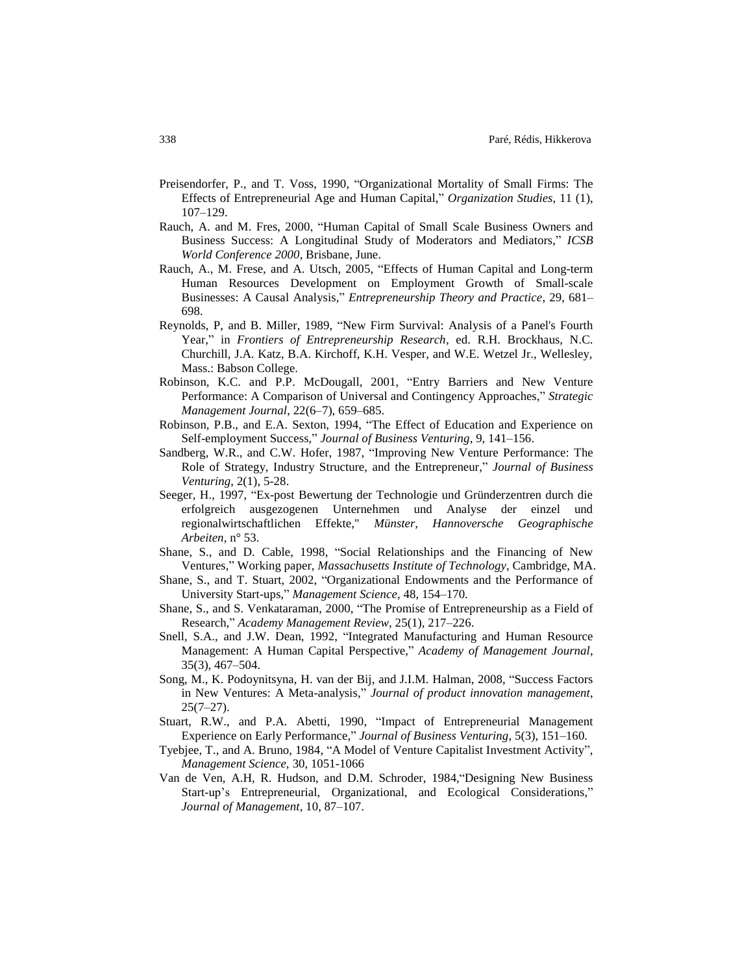- Preisendorfer, P., and T. Voss, 1990, "Organizational Mortality of Small Firms: The Effects of Entrepreneurial Age and Human Capital," *Organization Studies*, 11 (1), 107–129.
- Rauch, A. and M. Fres, 2000, "Human Capital of Small Scale Business Owners and Business Success: A Longitudinal Study of Moderators and Mediators," *ICSB World Conference 2000*, Brisbane, June.
- Rauch, A., M. Frese, and A. Utsch, 2005, "Effects of Human Capital and Long-term Human Resources Development on Employment Growth of Small-scale Businesses: A Causal Analysis," *Entrepreneurship Theory and Practice*, 29, 681– 698.
- Reynolds, P, and B. Miller, 1989, "New Firm Survival: Analysis of a Panel's Fourth Year," in *Frontiers of Entrepreneurship Research,* ed. R.H. Brockhaus, N.C. Churchill, J.A. Katz, B.A. Kirchoff, K.H. Vesper, and W.E. Wetzel Jr., Wellesley, Mass.: Babson College.
- Robinson, K.C. and P.P. McDougall, 2001, "Entry Barriers and New Venture Performance: A Comparison of Universal and Contingency Approaches," *Strategic Management Journal*, 22(6–7), 659–685.
- Robinson, P.B., and E.A. Sexton, 1994, "The Effect of Education and Experience on Self-employment Success," *Journal of Business Venturing*, 9, 141–156.
- Sandberg, W.R., and C.W. Hofer, 1987, "Improving New Venture Performance: The Role of Strategy, Industry Structure, and the Entrepreneur," *Journal of Business Venturing*, 2(1), 5-28.
- Seeger, H., 1997, "Ex-post Bewertung der Technologie und Gründerzentren durch die erfolgreich ausgezogenen Unternehmen und Analyse der einzel und regionalwirtschaftlichen Effekte," *Münster, Hannoversche Geographische Arbeiten*, n° 53.
- Shane, S., and D. Cable, 1998, "Social Relationships and the Financing of New Ventures," Working paper, *Massachusetts Institute of Technology*, Cambridge, MA.
- Shane, S., and T. Stuart, 2002, "Organizational Endowments and the Performance of University Start-ups," *Management Science,* 48, 154–170.
- Shane, S., and S. Venkataraman, 2000, "The Promise of Entrepreneurship as a Field of Research," *Academy Management Review*, 25(1), 217–226.
- Snell, S.A., and J.W. Dean, 1992, "Integrated Manufacturing and Human Resource Management: A Human Capital Perspective," *Academy of Management Journal*, 35(3), 467–504.
- Song, M., K. Podoynitsyna, H. van der Bij, and J.I.M. Halman, 2008, "Success Factors in New Ventures: A Meta-analysis," *Journal of product innovation management*, 25(7–27).
- Stuart, R.W., and P.A. Abetti, 1990, "Impact of Entrepreneurial Management Experience on Early Performance," *Journal of Business Venturing*, 5(3), 151–160.
- Tyebjee, T., and A. Bruno, 1984, "A Model of Venture Capitalist Investment Activity", *Management Science,* 30, 1051-1066
- Van de Ven, A.H, R. Hudson, and D.M. Schroder, 1984,"Designing New Business Start-up's Entrepreneurial, Organizational, and Ecological Considerations," *Journal of Management*, 10, 87–107.